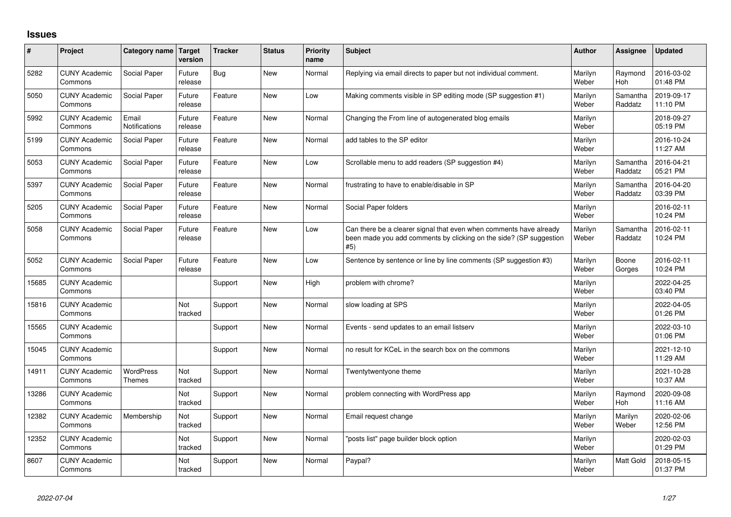## **Issues**

| #     | Project                         | Category name                     | <b>Target</b><br>version | <b>Tracker</b> | <b>Status</b> | <b>Priority</b><br>name | <b>Subject</b>                                                                                                                                  | Author           | Assignee              | <b>Updated</b>         |
|-------|---------------------------------|-----------------------------------|--------------------------|----------------|---------------|-------------------------|-------------------------------------------------------------------------------------------------------------------------------------------------|------------------|-----------------------|------------------------|
| 5282  | <b>CUNY Academic</b><br>Commons | Social Paper                      | Future<br>release        | Bug            | <b>New</b>    | Normal                  | Replying via email directs to paper but not individual comment.                                                                                 | Marilyn<br>Weber | Raymond<br><b>Hoh</b> | 2016-03-02<br>01:48 PM |
| 5050  | <b>CUNY Academic</b><br>Commons | Social Paper                      | Future<br>release        | Feature        | <b>New</b>    | Low                     | Making comments visible in SP editing mode (SP suggestion #1)                                                                                   | Marilyn<br>Weber | Samantha<br>Raddatz   | 2019-09-17<br>11:10 PM |
| 5992  | <b>CUNY Academic</b><br>Commons | Email<br>Notifications            | Future<br>release        | Feature        | <b>New</b>    | Normal                  | Changing the From line of autogenerated blog emails                                                                                             | Marilyn<br>Weber |                       | 2018-09-27<br>05:19 PM |
| 5199  | <b>CUNY Academic</b><br>Commons | Social Paper                      | Future<br>release        | Feature        | <b>New</b>    | Normal                  | add tables to the SP editor                                                                                                                     | Marilyn<br>Weber |                       | 2016-10-24<br>11:27 AM |
| 5053  | <b>CUNY Academic</b><br>Commons | Social Paper                      | Future<br>release        | Feature        | <b>New</b>    | Low                     | Scrollable menu to add readers (SP suggestion #4)                                                                                               | Marilyn<br>Weber | Samantha<br>Raddatz   | 2016-04-21<br>05:21 PM |
| 5397  | <b>CUNY Academic</b><br>Commons | Social Paper                      | Future<br>release        | Feature        | <b>New</b>    | Normal                  | frustrating to have to enable/disable in SP                                                                                                     | Marilyn<br>Weber | Samantha<br>Raddatz   | 2016-04-20<br>03:39 PM |
| 5205  | <b>CUNY Academic</b><br>Commons | Social Paper                      | Future<br>release        | Feature        | <b>New</b>    | Normal                  | Social Paper folders                                                                                                                            | Marilyn<br>Weber |                       | 2016-02-11<br>10:24 PM |
| 5058  | <b>CUNY Academic</b><br>Commons | Social Paper                      | Future<br>release        | Feature        | <b>New</b>    | Low                     | Can there be a clearer signal that even when comments have already<br>been made you add comments by clicking on the side? (SP suggestion<br>#5) | Marilyn<br>Weber | Samantha<br>Raddatz   | 2016-02-11<br>10:24 PM |
| 5052  | <b>CUNY Academic</b><br>Commons | Social Paper                      | Future<br>release        | Feature        | <b>New</b>    | Low                     | Sentence by sentence or line by line comments (SP suggestion #3)                                                                                | Marilyn<br>Weber | Boone<br>Gorges       | 2016-02-11<br>10:24 PM |
| 15685 | <b>CUNY Academic</b><br>Commons |                                   |                          | Support        | <b>New</b>    | High                    | problem with chrome?                                                                                                                            | Marilyn<br>Weber |                       | 2022-04-25<br>03:40 PM |
| 15816 | <b>CUNY Academic</b><br>Commons |                                   | Not<br>tracked           | Support        | <b>New</b>    | Normal                  | slow loading at SPS                                                                                                                             | Marilyn<br>Weber |                       | 2022-04-05<br>01:26 PM |
| 15565 | <b>CUNY Academic</b><br>Commons |                                   |                          | Support        | <b>New</b>    | Normal                  | Events - send updates to an email listserv                                                                                                      | Marilyn<br>Weber |                       | 2022-03-10<br>01:06 PM |
| 15045 | <b>CUNY Academic</b><br>Commons |                                   |                          | Support        | <b>New</b>    | Normal                  | no result for KCeL in the search box on the commons                                                                                             | Marilyn<br>Weber |                       | 2021-12-10<br>11:29 AM |
| 14911 | <b>CUNY Academic</b><br>Commons | <b>WordPress</b><br><b>Themes</b> | Not<br>tracked           | Support        | <b>New</b>    | Normal                  | Twentytwentyone theme                                                                                                                           | Marilyn<br>Weber |                       | 2021-10-28<br>10:37 AM |
| 13286 | <b>CUNY Academic</b><br>Commons |                                   | Not<br>tracked           | Support        | New           | Normal                  | problem connecting with WordPress app                                                                                                           | Marilyn<br>Weber | Raymond<br><b>Hoh</b> | 2020-09-08<br>11:16 AM |
| 12382 | <b>CUNY Academic</b><br>Commons | Membership                        | Not<br>tracked           | Support        | <b>New</b>    | Normal                  | Email request change                                                                                                                            | Marilyn<br>Weber | Marilyn<br>Weber      | 2020-02-06<br>12:56 PM |
| 12352 | <b>CUNY Academic</b><br>Commons |                                   | Not<br>tracked           | Support        | <b>New</b>    | Normal                  | 'posts list" page builder block option                                                                                                          | Marilyn<br>Weber |                       | 2020-02-03<br>01:29 PM |
| 8607  | <b>CUNY Academic</b><br>Commons |                                   | Not<br>tracked           | Support        | <b>New</b>    | Normal                  | Paypal?                                                                                                                                         | Marilyn<br>Weber | <b>Matt Gold</b>      | 2018-05-15<br>01:37 PM |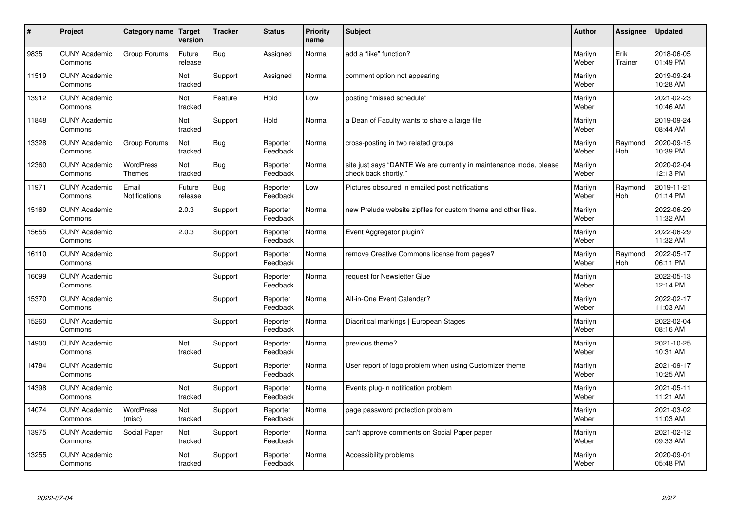| #     | Project                         | Category name                     | <b>Target</b><br>version | <b>Tracker</b> | <b>Status</b>        | <b>Priority</b><br>name | <b>Subject</b>                                                                             | <b>Author</b>    | Assignee        | <b>Updated</b>         |
|-------|---------------------------------|-----------------------------------|--------------------------|----------------|----------------------|-------------------------|--------------------------------------------------------------------------------------------|------------------|-----------------|------------------------|
| 9835  | <b>CUNY Academic</b><br>Commons | Group Forums                      | Future<br>release        | Bug            | Assigned             | Normal                  | add a "like" function?                                                                     | Marilyn<br>Weber | Erik<br>Trainer | 2018-06-05<br>01:49 PM |
| 11519 | <b>CUNY Academic</b><br>Commons |                                   | Not<br>tracked           | Support        | Assigned             | Normal                  | comment option not appearing                                                               | Marilyn<br>Weber |                 | 2019-09-24<br>10:28 AM |
| 13912 | <b>CUNY Academic</b><br>Commons |                                   | Not<br>tracked           | Feature        | Hold                 | Low                     | posting "missed schedule"                                                                  | Marilyn<br>Weber |                 | 2021-02-23<br>10:46 AM |
| 11848 | <b>CUNY Academic</b><br>Commons |                                   | Not<br>tracked           | Support        | Hold                 | Normal                  | a Dean of Faculty wants to share a large file                                              | Marilyn<br>Weber |                 | 2019-09-24<br>08:44 AM |
| 13328 | <b>CUNY Academic</b><br>Commons | Group Forums                      | Not<br>tracked           | Bug            | Reporter<br>Feedback | Normal                  | cross-posting in two related groups                                                        | Marilyn<br>Weber | Raymond<br>Hoh  | 2020-09-15<br>10:39 PM |
| 12360 | <b>CUNY Academic</b><br>Commons | <b>WordPress</b><br><b>Themes</b> | Not<br>tracked           | <b>Bug</b>     | Reporter<br>Feedback | Normal                  | site just says "DANTE We are currently in maintenance mode, please<br>check back shortly." | Marilyn<br>Weber |                 | 2020-02-04<br>12:13 PM |
| 11971 | <b>CUNY Academic</b><br>Commons | Email<br>Notifications            | Future<br>release        | Bug            | Reporter<br>Feedback | Low                     | Pictures obscured in emailed post notifications                                            | Marilyn<br>Weber | Raymond<br>Hoh  | 2019-11-21<br>01:14 PM |
| 15169 | <b>CUNY Academic</b><br>Commons |                                   | 2.0.3                    | Support        | Reporter<br>Feedback | Normal                  | new Prelude website zipfiles for custom theme and other files.                             | Marilyn<br>Weber |                 | 2022-06-29<br>11:32 AM |
| 15655 | <b>CUNY Academic</b><br>Commons |                                   | 2.0.3                    | Support        | Reporter<br>Feedback | Normal                  | Event Aggregator plugin?                                                                   | Marilyn<br>Weber |                 | 2022-06-29<br>11:32 AM |
| 16110 | <b>CUNY Academic</b><br>Commons |                                   |                          | Support        | Reporter<br>Feedback | Normal                  | remove Creative Commons license from pages?                                                | Marilyn<br>Weber | Raymond<br>Hoh  | 2022-05-17<br>06:11 PM |
| 16099 | <b>CUNY Academic</b><br>Commons |                                   |                          | Support        | Reporter<br>Feedback | Normal                  | request for Newsletter Glue                                                                | Marilyn<br>Weber |                 | 2022-05-13<br>12:14 PM |
| 15370 | <b>CUNY Academic</b><br>Commons |                                   |                          | Support        | Reporter<br>Feedback | Normal                  | All-in-One Event Calendar?                                                                 | Marilyn<br>Weber |                 | 2022-02-17<br>11:03 AM |
| 15260 | <b>CUNY Academic</b><br>Commons |                                   |                          | Support        | Reporter<br>Feedback | Normal                  | Diacritical markings   European Stages                                                     | Marilyn<br>Weber |                 | 2022-02-04<br>08:16 AM |
| 14900 | <b>CUNY Academic</b><br>Commons |                                   | Not<br>tracked           | Support        | Reporter<br>Feedback | Normal                  | previous theme?                                                                            | Marilyn<br>Weber |                 | 2021-10-25<br>10:31 AM |
| 14784 | <b>CUNY Academic</b><br>Commons |                                   |                          | Support        | Reporter<br>Feedback | Normal                  | User report of logo problem when using Customizer theme                                    | Marilyn<br>Weber |                 | 2021-09-17<br>10:25 AM |
| 14398 | <b>CUNY Academic</b><br>Commons |                                   | Not<br>tracked           | Support        | Reporter<br>Feedback | Normal                  | Events plug-in notification problem                                                        | Marilyn<br>Weber |                 | 2021-05-11<br>11:21 AM |
| 14074 | <b>CUNY Academic</b><br>Commons | WordPress<br>(misc)               | Not<br>tracked           | Support        | Reporter<br>Feedback | Normal                  | page password protection problem                                                           | Marilyn<br>Weber |                 | 2021-03-02<br>11:03 AM |
| 13975 | <b>CUNY Academic</b><br>Commons | Social Paper                      | Not<br>tracked           | Support        | Reporter<br>Feedback | Normal                  | can't approve comments on Social Paper paper                                               | Marilyn<br>Weber |                 | 2021-02-12<br>09:33 AM |
| 13255 | <b>CUNY Academic</b><br>Commons |                                   | Not<br>tracked           | Support        | Reporter<br>Feedback | Normal                  | Accessibility problems                                                                     | Marilyn<br>Weber |                 | 2020-09-01<br>05:48 PM |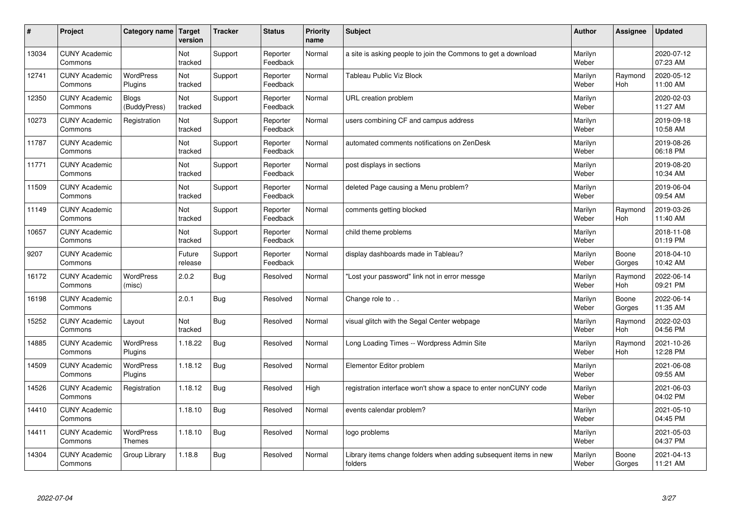| #     | Project                         | Category name   Target            | version           | <b>Tracker</b> | <b>Status</b>        | <b>Priority</b><br>name | <b>Subject</b>                                                              | <b>Author</b>    | <b>Assignee</b>       | <b>Updated</b>         |
|-------|---------------------------------|-----------------------------------|-------------------|----------------|----------------------|-------------------------|-----------------------------------------------------------------------------|------------------|-----------------------|------------------------|
| 13034 | <b>CUNY Academic</b><br>Commons |                                   | Not<br>tracked    | Support        | Reporter<br>Feedback | Normal                  | a site is asking people to join the Commons to get a download               | Marilyn<br>Weber |                       | 2020-07-12<br>07:23 AM |
| 12741 | <b>CUNY Academic</b><br>Commons | <b>WordPress</b><br>Plugins       | Not<br>tracked    | Support        | Reporter<br>Feedback | Normal                  | <b>Tableau Public Viz Block</b>                                             | Marilyn<br>Weber | Raymond<br>Hoh        | 2020-05-12<br>11:00 AM |
| 12350 | <b>CUNY Academic</b><br>Commons | <b>Blogs</b><br>(BuddyPress)      | Not<br>tracked    | Support        | Reporter<br>Feedback | Normal                  | URL creation problem                                                        | Marilyn<br>Weber |                       | 2020-02-03<br>11:27 AM |
| 10273 | <b>CUNY Academic</b><br>Commons | Registration                      | Not<br>tracked    | Support        | Reporter<br>Feedback | Normal                  | users combining CF and campus address                                       | Marilyn<br>Weber |                       | 2019-09-18<br>10:58 AM |
| 11787 | <b>CUNY Academic</b><br>Commons |                                   | Not<br>tracked    | Support        | Reporter<br>Feedback | Normal                  | automated comments notifications on ZenDesk                                 | Marilyn<br>Weber |                       | 2019-08-26<br>06:18 PM |
| 11771 | <b>CUNY Academic</b><br>Commons |                                   | Not<br>tracked    | Support        | Reporter<br>Feedback | Normal                  | post displays in sections                                                   | Marilyn<br>Weber |                       | 2019-08-20<br>10:34 AM |
| 11509 | <b>CUNY Academic</b><br>Commons |                                   | Not<br>tracked    | Support        | Reporter<br>Feedback | Normal                  | deleted Page causing a Menu problem?                                        | Marilyn<br>Weber |                       | 2019-06-04<br>09:54 AM |
| 11149 | <b>CUNY Academic</b><br>Commons |                                   | Not<br>tracked    | Support        | Reporter<br>Feedback | Normal                  | comments getting blocked                                                    | Marilyn<br>Weber | Raymond<br><b>Hoh</b> | 2019-03-26<br>11:40 AM |
| 10657 | <b>CUNY Academic</b><br>Commons |                                   | Not<br>tracked    | Support        | Reporter<br>Feedback | Normal                  | child theme problems                                                        | Marilyn<br>Weber |                       | 2018-11-08<br>01:19 PM |
| 9207  | <b>CUNY Academic</b><br>Commons |                                   | Future<br>release | Support        | Reporter<br>Feedback | Normal                  | display dashboards made in Tableau?                                         | Marilyn<br>Weber | Boone<br>Gorges       | 2018-04-10<br>10:42 AM |
| 16172 | <b>CUNY Academic</b><br>Commons | <b>WordPress</b><br>(misc)        | 2.0.2             | Bug            | Resolved             | Normal                  | 'Lost your password" link not in error messge                               | Marilyn<br>Weber | Raymond<br>Hoh        | 2022-06-14<br>09:21 PM |
| 16198 | <b>CUNY Academic</b><br>Commons |                                   | 2.0.1             | Bug            | Resolved             | Normal                  | Change role to                                                              | Marilyn<br>Weber | Boone<br>Gorges       | 2022-06-14<br>11:35 AM |
| 15252 | <b>CUNY Academic</b><br>Commons | Layout                            | Not<br>tracked    | Bug            | Resolved             | Normal                  | visual glitch with the Segal Center webpage                                 | Marilyn<br>Weber | Raymond<br>Hoh        | 2022-02-03<br>04:56 PM |
| 14885 | <b>CUNY Academic</b><br>Commons | WordPress<br>Plugins              | 1.18.22           | Bug            | Resolved             | Normal                  | Long Loading Times -- Wordpress Admin Site                                  | Marilyn<br>Weber | Raymond<br>Hoh        | 2021-10-26<br>12:28 PM |
| 14509 | <b>CUNY Academic</b><br>Commons | <b>WordPress</b><br>Plugins       | 1.18.12           | Bug            | Resolved             | Normal                  | Elementor Editor problem                                                    | Marilyn<br>Weber |                       | 2021-06-08<br>09:55 AM |
| 14526 | <b>CUNY Academic</b><br>Commons | Registration                      | 1.18.12           | Bug            | Resolved             | High                    | registration interface won't show a space to enter nonCUNY code             | Marilyn<br>Weber |                       | 2021-06-03<br>04:02 PM |
| 14410 | <b>CUNY Academic</b><br>Commons |                                   | 1.18.10           | Bug            | Resolved             | Normal                  | events calendar problem?                                                    | Marilyn<br>Weber |                       | 2021-05-10<br>04:45 PM |
| 14411 | <b>CUNY Academic</b><br>Commons | <b>WordPress</b><br><b>Themes</b> | 1.18.10           | Bug            | Resolved             | Normal                  | logo problems                                                               | Marilyn<br>Weber |                       | 2021-05-03<br>04:37 PM |
| 14304 | <b>CUNY Academic</b><br>Commons | Group Library                     | 1.18.8            | Bug            | Resolved             | Normal                  | Library items change folders when adding subsequent items in new<br>folders | Marilyn<br>Weber | Boone<br>Gorges       | 2021-04-13<br>11:21 AM |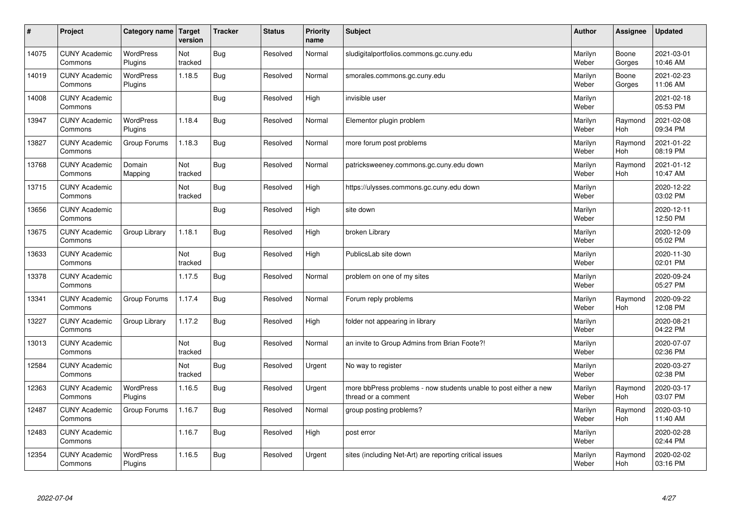| $\sharp$ | Project                         | Category name   Target      | version        | <b>Tracker</b> | <b>Status</b> | <b>Priority</b><br>name | <b>Subject</b>                                                                          | <b>Author</b>    | Assignee              | <b>Updated</b>         |
|----------|---------------------------------|-----------------------------|----------------|----------------|---------------|-------------------------|-----------------------------------------------------------------------------------------|------------------|-----------------------|------------------------|
| 14075    | <b>CUNY Academic</b><br>Commons | <b>WordPress</b><br>Plugins | Not<br>tracked | Bug            | Resolved      | Normal                  | sludigitalportfolios.commons.gc.cuny.edu                                                | Marilyn<br>Weber | Boone<br>Gorges       | 2021-03-01<br>10:46 AM |
| 14019    | <b>CUNY Academic</b><br>Commons | <b>WordPress</b><br>Plugins | 1.18.5         | Bug            | Resolved      | Normal                  | smorales.commons.gc.cuny.edu                                                            | Marilyn<br>Weber | Boone<br>Gorges       | 2021-02-23<br>11:06 AM |
| 14008    | <b>CUNY Academic</b><br>Commons |                             |                | Bug            | Resolved      | High                    | invisible user                                                                          | Marilyn<br>Weber |                       | 2021-02-18<br>05:53 PM |
| 13947    | <b>CUNY Academic</b><br>Commons | <b>WordPress</b><br>Plugins | 1.18.4         | Bug            | Resolved      | Normal                  | Elementor plugin problem                                                                | Marilyn<br>Weber | Raymond<br><b>Hoh</b> | 2021-02-08<br>09:34 PM |
| 13827    | <b>CUNY Academic</b><br>Commons | Group Forums                | 1.18.3         | Bug            | Resolved      | Normal                  | more forum post problems                                                                | Marilyn<br>Weber | Raymond<br>Hoh        | 2021-01-22<br>08:19 PM |
| 13768    | <b>CUNY Academic</b><br>Commons | Domain<br>Mapping           | Not<br>tracked | Bug            | Resolved      | Normal                  | patricksweeney.commons.gc.cuny.edu down                                                 | Marilyn<br>Weber | Raymond<br>Hoh        | 2021-01-12<br>10:47 AM |
| 13715    | <b>CUNY Academic</b><br>Commons |                             | Not<br>tracked | Bug            | Resolved      | High                    | https://ulysses.commons.gc.cuny.edu down                                                | Marilyn<br>Weber |                       | 2020-12-22<br>03:02 PM |
| 13656    | <b>CUNY Academic</b><br>Commons |                             |                | Bug            | Resolved      | High                    | site down                                                                               | Marilyn<br>Weber |                       | 2020-12-11<br>12:50 PM |
| 13675    | <b>CUNY Academic</b><br>Commons | Group Library               | 1.18.1         | Bug            | Resolved      | High                    | broken Library                                                                          | Marilyn<br>Weber |                       | 2020-12-09<br>05:02 PM |
| 13633    | <b>CUNY Academic</b><br>Commons |                             | Not<br>tracked | Bug            | Resolved      | High                    | PublicsLab site down                                                                    | Marilyn<br>Weber |                       | 2020-11-30<br>02:01 PM |
| 13378    | <b>CUNY Academic</b><br>Commons |                             | 1.17.5         | Bug            | Resolved      | Normal                  | problem on one of my sites                                                              | Marilyn<br>Weber |                       | 2020-09-24<br>05:27 PM |
| 13341    | <b>CUNY Academic</b><br>Commons | Group Forums                | 1.17.4         | Bug            | Resolved      | Normal                  | Forum reply problems                                                                    | Marilyn<br>Weber | Raymond<br>Hoh        | 2020-09-22<br>12:08 PM |
| 13227    | <b>CUNY Academic</b><br>Commons | Group Library               | 1.17.2         | Bug            | Resolved      | High                    | folder not appearing in library                                                         | Marilyn<br>Weber |                       | 2020-08-21<br>04:22 PM |
| 13013    | <b>CUNY Academic</b><br>Commons |                             | Not<br>tracked | Bug            | Resolved      | Normal                  | an invite to Group Admins from Brian Foote?!                                            | Marilyn<br>Weber |                       | 2020-07-07<br>02:36 PM |
| 12584    | <b>CUNY Academic</b><br>Commons |                             | Not<br>tracked | Bug            | Resolved      | Urgent                  | No way to register                                                                      | Marilyn<br>Weber |                       | 2020-03-27<br>02:38 PM |
| 12363    | <b>CUNY Academic</b><br>Commons | <b>WordPress</b><br>Plugins | 1.16.5         | Bug            | Resolved      | Urgent                  | more bbPress problems - now students unable to post either a new<br>thread or a comment | Marilyn<br>Weber | Raymond<br>Hoh        | 2020-03-17<br>03:07 PM |
| 12487    | <b>CUNY Academic</b><br>Commons | Group Forums                | 1.16.7         | Bug            | Resolved      | Normal                  | group posting problems?                                                                 | Marilyn<br>Weber | Raymond<br>Hoh        | 2020-03-10<br>11:40 AM |
| 12483    | <b>CUNY Academic</b><br>Commons |                             | 1.16.7         | Bug            | Resolved      | High                    | post error                                                                              | Marilyn<br>Weber |                       | 2020-02-28<br>02:44 PM |
| 12354    | <b>CUNY Academic</b><br>Commons | <b>WordPress</b><br>Plugins | 1.16.5         | Bug            | Resolved      | Urgent                  | sites (including Net-Art) are reporting critical issues                                 | Marilyn<br>Weber | Raymond<br>Hoh        | 2020-02-02<br>03:16 PM |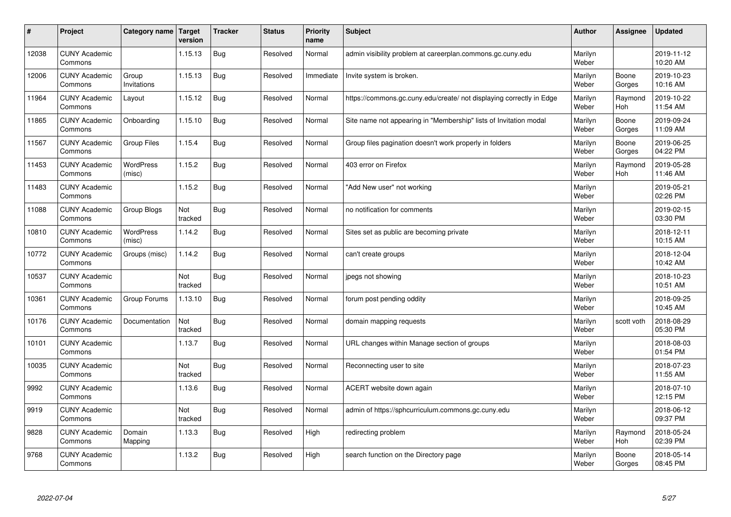| #     | Project                         | Category name   Target     | version        | <b>Tracker</b> | <b>Status</b> | <b>Priority</b><br>name | <b>Subject</b>                                                       | <b>Author</b>    | Assignee        | <b>Updated</b>         |
|-------|---------------------------------|----------------------------|----------------|----------------|---------------|-------------------------|----------------------------------------------------------------------|------------------|-----------------|------------------------|
| 12038 | <b>CUNY Academic</b><br>Commons |                            | 1.15.13        | Bug            | Resolved      | Normal                  | admin visibility problem at careerplan.commons.gc.cuny.edu           | Marilyn<br>Weber |                 | 2019-11-12<br>10:20 AM |
| 12006 | <b>CUNY Academic</b><br>Commons | Group<br>Invitations       | 1.15.13        | <b>Bug</b>     | Resolved      | Immediate               | Invite system is broken.                                             | Marilyn<br>Weber | Boone<br>Gorges | 2019-10-23<br>10:16 AM |
| 11964 | <b>CUNY Academic</b><br>Commons | Layout                     | 1.15.12        | <b>Bug</b>     | Resolved      | Normal                  | https://commons.gc.cuny.edu/create/ not displaying correctly in Edge | Marilyn<br>Weber | Raymond<br>Hoh  | 2019-10-22<br>11:54 AM |
| 11865 | <b>CUNY Academic</b><br>Commons | Onboarding                 | 1.15.10        | Bug            | Resolved      | Normal                  | Site name not appearing in "Membership" lists of Invitation modal    | Marilyn<br>Weber | Boone<br>Gorges | 2019-09-24<br>11:09 AM |
| 11567 | <b>CUNY Academic</b><br>Commons | Group Files                | 1.15.4         | Bug            | Resolved      | Normal                  | Group files pagination doesn't work properly in folders              | Marilyn<br>Weber | Boone<br>Gorges | 2019-06-25<br>04:22 PM |
| 11453 | <b>CUNY Academic</b><br>Commons | <b>WordPress</b><br>(misc) | 1.15.2         | Bug            | Resolved      | Normal                  | 403 error on Firefox                                                 | Marilyn<br>Weber | Raymond<br>Hoh  | 2019-05-28<br>11:46 AM |
| 11483 | <b>CUNY Academic</b><br>Commons |                            | 1.15.2         | Bug            | Resolved      | Normal                  | 'Add New user" not working                                           | Marilyn<br>Weber |                 | 2019-05-21<br>02:26 PM |
| 11088 | <b>CUNY Academic</b><br>Commons | Group Blogs                | Not<br>tracked | Bug            | Resolved      | Normal                  | no notification for comments                                         | Marilyn<br>Weber |                 | 2019-02-15<br>03:30 PM |
| 10810 | <b>CUNY Academic</b><br>Commons | WordPress<br>(misc)        | 1.14.2         | Bug            | Resolved      | Normal                  | Sites set as public are becoming private                             | Marilyn<br>Weber |                 | 2018-12-11<br>10:15 AM |
| 10772 | <b>CUNY Academic</b><br>Commons | Groups (misc)              | 1.14.2         | Bug            | Resolved      | Normal                  | can't create groups                                                  | Marilyn<br>Weber |                 | 2018-12-04<br>10:42 AM |
| 10537 | <b>CUNY Academic</b><br>Commons |                            | Not<br>tracked | Bug            | Resolved      | Normal                  | jpegs not showing                                                    | Marilyn<br>Weber |                 | 2018-10-23<br>10:51 AM |
| 10361 | <b>CUNY Academic</b><br>Commons | Group Forums               | 1.13.10        | Bug            | Resolved      | Normal                  | forum post pending oddity                                            | Marilyn<br>Weber |                 | 2018-09-25<br>10:45 AM |
| 10176 | <b>CUNY Academic</b><br>Commons | Documentation              | Not<br>tracked | Bug            | Resolved      | Normal                  | domain mapping requests                                              | Marilyn<br>Weber | scott voth      | 2018-08-29<br>05:30 PM |
| 10101 | <b>CUNY Academic</b><br>Commons |                            | 1.13.7         | <b>Bug</b>     | Resolved      | Normal                  | URL changes within Manage section of groups                          | Marilyn<br>Weber |                 | 2018-08-03<br>01:54 PM |
| 10035 | <b>CUNY Academic</b><br>Commons |                            | Not<br>tracked | Bug            | Resolved      | Normal                  | Reconnecting user to site                                            | Marilyn<br>Weber |                 | 2018-07-23<br>11:55 AM |
| 9992  | <b>CUNY Academic</b><br>Commons |                            | 1.13.6         | Bug            | Resolved      | Normal                  | ACERT website down again                                             | Marilyn<br>Weber |                 | 2018-07-10<br>12:15 PM |
| 9919  | <b>CUNY Academic</b><br>Commons |                            | Not<br>tracked | <b>Bug</b>     | Resolved      | Normal                  | admin of https://sphcurriculum.commons.gc.cuny.edu                   | Marilyn<br>Weber |                 | 2018-06-12<br>09:37 PM |
| 9828  | <b>CUNY Academic</b><br>Commons | Domain<br>Mapping          | 1.13.3         | Bug            | Resolved      | High                    | redirecting problem                                                  | Marilyn<br>Weber | Raymond<br>Hoh  | 2018-05-24<br>02:39 PM |
| 9768  | <b>CUNY Academic</b><br>Commons |                            | 1.13.2         | Bug            | Resolved      | High                    | search function on the Directory page                                | Marilyn<br>Weber | Boone<br>Gorges | 2018-05-14<br>08:45 PM |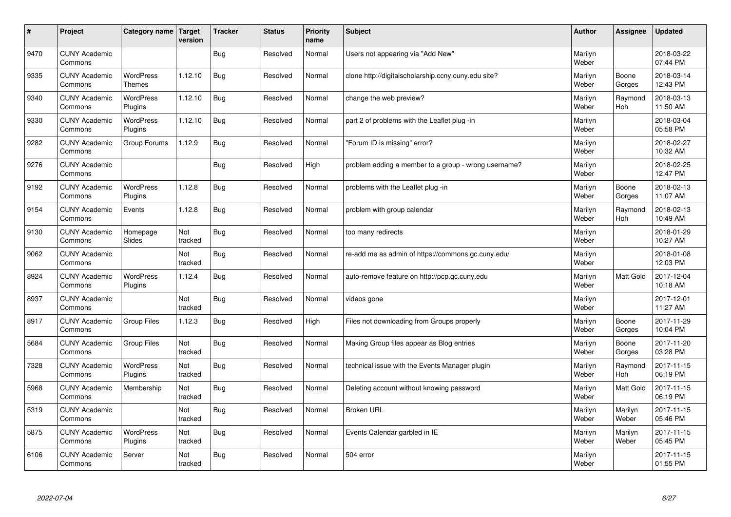| #    | Project                         | Category name                     | <b>Target</b><br>version | <b>Tracker</b> | <b>Status</b> | <b>Priority</b><br>name | <b>Subject</b>                                       | <b>Author</b>    | Assignee              | <b>Updated</b>         |
|------|---------------------------------|-----------------------------------|--------------------------|----------------|---------------|-------------------------|------------------------------------------------------|------------------|-----------------------|------------------------|
| 9470 | <b>CUNY Academic</b><br>Commons |                                   |                          | Bug            | Resolved      | Normal                  | Users not appearing via "Add New"                    | Marilyn<br>Weber |                       | 2018-03-22<br>07:44 PM |
| 9335 | <b>CUNY Academic</b><br>Commons | <b>WordPress</b><br><b>Themes</b> | 1.12.10                  | Bug            | Resolved      | Normal                  | clone http://digitalscholarship.ccny.cuny.edu site?  | Marilyn<br>Weber | Boone<br>Gorges       | 2018-03-14<br>12:43 PM |
| 9340 | <b>CUNY Academic</b><br>Commons | <b>WordPress</b><br>Plugins       | 1.12.10                  | Bug            | Resolved      | Normal                  | change the web preview?                              | Marilyn<br>Weber | Raymond<br>Hoh        | 2018-03-13<br>11:50 AM |
| 9330 | <b>CUNY Academic</b><br>Commons | <b>WordPress</b><br>Plugins       | 1.12.10                  | Bug            | Resolved      | Normal                  | part 2 of problems with the Leaflet plug -in         | Marilyn<br>Weber |                       | 2018-03-04<br>05:58 PM |
| 9282 | <b>CUNY Academic</b><br>Commons | Group Forums                      | 1.12.9                   | Bug            | Resolved      | Normal                  | 'Forum ID is missing" error?                         | Marilyn<br>Weber |                       | 2018-02-27<br>10:32 AM |
| 9276 | <b>CUNY Academic</b><br>Commons |                                   |                          | Bug            | Resolved      | High                    | problem adding a member to a group - wrong username? | Marilyn<br>Weber |                       | 2018-02-25<br>12:47 PM |
| 9192 | <b>CUNY Academic</b><br>Commons | <b>WordPress</b><br>Plugins       | 1.12.8                   | Bug            | Resolved      | Normal                  | problems with the Leaflet plug -in                   | Marilyn<br>Weber | Boone<br>Gorges       | 2018-02-13<br>11:07 AM |
| 9154 | <b>CUNY Academic</b><br>Commons | Events                            | 1.12.8                   | Bug            | Resolved      | Normal                  | problem with group calendar                          | Marilyn<br>Weber | Raymond<br><b>Hoh</b> | 2018-02-13<br>10:49 AM |
| 9130 | <b>CUNY Academic</b><br>Commons | Homepage<br>Slides                | Not<br>tracked           | Bug            | Resolved      | Normal                  | too many redirects                                   | Marilyn<br>Weber |                       | 2018-01-29<br>10:27 AM |
| 9062 | <b>CUNY Academic</b><br>Commons |                                   | Not<br>tracked           | <b>Bug</b>     | Resolved      | Normal                  | re-add me as admin of https://commons.gc.cuny.edu/   | Marilyn<br>Weber |                       | 2018-01-08<br>12:03 PM |
| 8924 | <b>CUNY Academic</b><br>Commons | <b>WordPress</b><br>Plugins       | 1.12.4                   | Bug            | Resolved      | Normal                  | auto-remove feature on http://pcp.gc.cuny.edu        | Marilyn<br>Weber | Matt Gold             | 2017-12-04<br>10:18 AM |
| 8937 | <b>CUNY Academic</b><br>Commons |                                   | Not<br>tracked           | <b>Bug</b>     | Resolved      | Normal                  | videos gone                                          | Marilyn<br>Weber |                       | 2017-12-01<br>11:27 AM |
| 8917 | <b>CUNY Academic</b><br>Commons | Group Files                       | 1.12.3                   | Bug            | Resolved      | High                    | Files not downloading from Groups properly           | Marilyn<br>Weber | Boone<br>Gorges       | 2017-11-29<br>10:04 PM |
| 5684 | <b>CUNY Academic</b><br>Commons | <b>Group Files</b>                | Not<br>tracked           | Bug            | Resolved      | Normal                  | Making Group files appear as Blog entries            | Marilyn<br>Weber | Boone<br>Gorges       | 2017-11-20<br>03:28 PM |
| 7328 | <b>CUNY Academic</b><br>Commons | WordPress<br>Plugins              | Not<br>tracked           | <b>Bug</b>     | Resolved      | Normal                  | technical issue with the Events Manager plugin       | Marilyn<br>Weber | Raymond<br>Hoh        | 2017-11-15<br>06:19 PM |
| 5968 | <b>CUNY Academic</b><br>Commons | Membership                        | Not<br>tracked           | Bug            | Resolved      | Normal                  | Deleting account without knowing password            | Marilyn<br>Weber | <b>Matt Gold</b>      | 2017-11-15<br>06:19 PM |
| 5319 | <b>CUNY Academic</b><br>Commons |                                   | Not<br>tracked           | <b>Bug</b>     | Resolved      | Normal                  | <b>Broken URL</b>                                    | Marilyn<br>Weber | Marilyn<br>Weber      | 2017-11-15<br>05:46 PM |
| 5875 | <b>CUNY Academic</b><br>Commons | WordPress<br>Plugins              | Not<br>tracked           | <b>Bug</b>     | Resolved      | Normal                  | Events Calendar garbled in IE                        | Marilyn<br>Weber | Marilyn<br>Weber      | 2017-11-15<br>05:45 PM |
| 6106 | <b>CUNY Academic</b><br>Commons | Server                            | Not<br>tracked           | Bug            | Resolved      | Normal                  | 504 error                                            | Marilyn<br>Weber |                       | 2017-11-15<br>01:55 PM |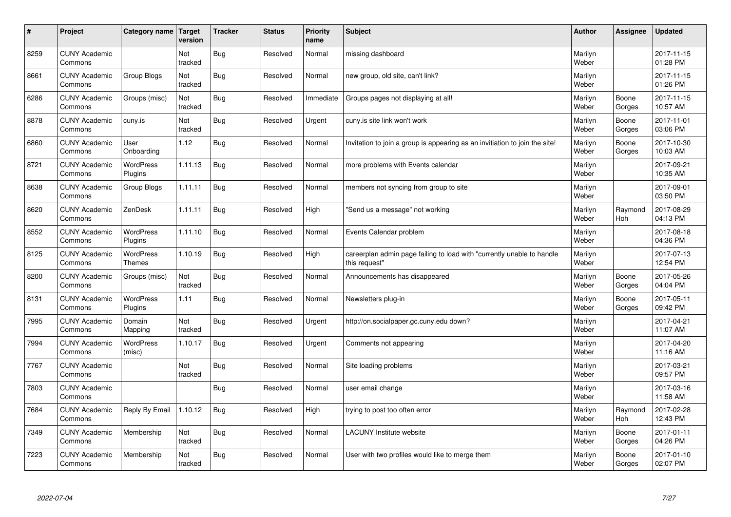| #    | Project                         | Category name   Target            | version        | <b>Tracker</b> | <b>Status</b> | <b>Priority</b><br>name | <b>Subject</b>                                                                          | <b>Author</b>    | Assignee              | <b>Updated</b>         |
|------|---------------------------------|-----------------------------------|----------------|----------------|---------------|-------------------------|-----------------------------------------------------------------------------------------|------------------|-----------------------|------------------------|
| 8259 | <b>CUNY Academic</b><br>Commons |                                   | Not<br>tracked | <b>Bug</b>     | Resolved      | Normal                  | missing dashboard                                                                       | Marilyn<br>Weber |                       | 2017-11-15<br>01:28 PM |
| 8661 | <b>CUNY Academic</b><br>Commons | Group Blogs                       | Not<br>tracked | Bug            | Resolved      | Normal                  | new group, old site, can't link?                                                        | Marilyn<br>Weber |                       | 2017-11-15<br>01:26 PM |
| 6286 | <b>CUNY Academic</b><br>Commons | Groups (misc)                     | Not<br>tracked | <b>Bug</b>     | Resolved      | Immediate               | Groups pages not displaying at all!                                                     | Marilyn<br>Weber | Boone<br>Gorges       | 2017-11-15<br>10:57 AM |
| 8878 | <b>CUNY Academic</b><br>Commons | cuny.is                           | Not<br>tracked | Bug            | Resolved      | Urgent                  | cuny.is site link won't work                                                            | Marilyn<br>Weber | Boone<br>Gorges       | 2017-11-01<br>03:06 PM |
| 6860 | <b>CUNY Academic</b><br>Commons | User<br>Onboarding                | 1.12           | Bug            | Resolved      | Normal                  | Invitation to join a group is appearing as an invitiation to join the site!             | Marilyn<br>Weber | Boone<br>Gorges       | 2017-10-30<br>10:03 AM |
| 8721 | <b>CUNY Academic</b><br>Commons | <b>WordPress</b><br>Plugins       | 1.11.13        | <b>Bug</b>     | Resolved      | Normal                  | more problems with Events calendar                                                      | Marilyn<br>Weber |                       | 2017-09-21<br>10:35 AM |
| 8638 | <b>CUNY Academic</b><br>Commons | Group Blogs                       | 1.11.11        | <b>Bug</b>     | Resolved      | Normal                  | members not syncing from group to site                                                  | Marilyn<br>Weber |                       | 2017-09-01<br>03:50 PM |
| 8620 | <b>CUNY Academic</b><br>Commons | ZenDesk                           | 1.11.11        | <b>Bug</b>     | Resolved      | High                    | 'Send us a message" not working                                                         | Marilyn<br>Weber | Raymond<br>Hoh        | 2017-08-29<br>04:13 PM |
| 8552 | <b>CUNY Academic</b><br>Commons | WordPress<br>Plugins              | 1.11.10        | Bug            | Resolved      | Normal                  | Events Calendar problem                                                                 | Marilyn<br>Weber |                       | 2017-08-18<br>04:36 PM |
| 8125 | <b>CUNY Academic</b><br>Commons | <b>WordPress</b><br><b>Themes</b> | 1.10.19        | Bug            | Resolved      | High                    | careerplan admin page failing to load with "currently unable to handle<br>this request" | Marilyn<br>Weber |                       | 2017-07-13<br>12:54 PM |
| 8200 | <b>CUNY Academic</b><br>Commons | Groups (misc)                     | Not<br>tracked | <b>Bug</b>     | Resolved      | Normal                  | Announcements has disappeared                                                           | Marilyn<br>Weber | Boone<br>Gorges       | 2017-05-26<br>04:04 PM |
| 8131 | <b>CUNY Academic</b><br>Commons | WordPress<br>Plugins              | 1.11           | Bug            | Resolved      | Normal                  | Newsletters plug-in                                                                     | Marilyn<br>Weber | Boone<br>Gorges       | 2017-05-11<br>09:42 PM |
| 7995 | <b>CUNY Academic</b><br>Commons | Domain<br>Mapping                 | Not<br>tracked | Bug            | Resolved      | Urgent                  | http://on.socialpaper.gc.cuny.edu down?                                                 | Marilyn<br>Weber |                       | 2017-04-21<br>11:07 AM |
| 7994 | <b>CUNY Academic</b><br>Commons | WordPress<br>(misc)               | 1.10.17        | <b>Bug</b>     | Resolved      | Urgent                  | Comments not appearing                                                                  | Marilyn<br>Weber |                       | 2017-04-20<br>11:16 AM |
| 7767 | <b>CUNY Academic</b><br>Commons |                                   | Not<br>tracked | Bug            | Resolved      | Normal                  | Site loading problems                                                                   | Marilyn<br>Weber |                       | 2017-03-21<br>09:57 PM |
| 7803 | <b>CUNY Academic</b><br>Commons |                                   |                | Bug            | Resolved      | Normal                  | user email change                                                                       | Marilyn<br>Weber |                       | 2017-03-16<br>11:58 AM |
| 7684 | <b>CUNY Academic</b><br>Commons | Reply By Email                    | 1.10.12        | Bug            | Resolved      | High                    | trying to post too often error                                                          | Marilyn<br>Weber | Raymond<br><b>Hoh</b> | 2017-02-28<br>12:43 PM |
| 7349 | <b>CUNY Academic</b><br>Commons | Membership                        | Not<br>tracked | Bug            | Resolved      | Normal                  | <b>LACUNY</b> Institute website                                                         | Marilyn<br>Weber | Boone<br>Gorges       | 2017-01-11<br>04:26 PM |
| 7223 | <b>CUNY Academic</b><br>Commons | Membership                        | Not<br>tracked | <b>Bug</b>     | Resolved      | Normal                  | User with two profiles would like to merge them                                         | Marilyn<br>Weber | Boone<br>Gorges       | 2017-01-10<br>02:07 PM |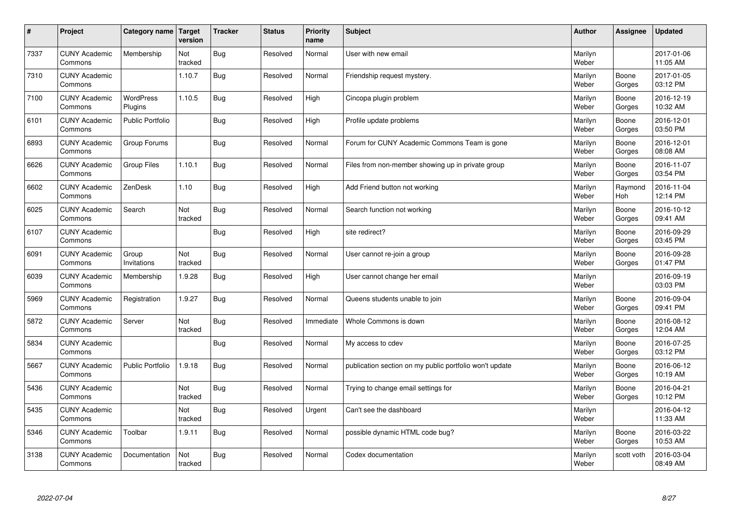| $\sharp$ | Project                         | Category name   Target      | version        | <b>Tracker</b> | <b>Status</b> | <b>Priority</b><br>name | <b>Subject</b>                                          | <b>Author</b>    | Assignee        | <b>Updated</b>         |
|----------|---------------------------------|-----------------------------|----------------|----------------|---------------|-------------------------|---------------------------------------------------------|------------------|-----------------|------------------------|
| 7337     | <b>CUNY Academic</b><br>Commons | Membership                  | Not<br>tracked | Bug            | Resolved      | Normal                  | User with new email                                     | Marilyn<br>Weber |                 | 2017-01-06<br>11:05 AM |
| 7310     | <b>CUNY Academic</b><br>Commons |                             | 1.10.7         | Bug            | Resolved      | Normal                  | Friendship request mystery.                             | Marilyn<br>Weber | Boone<br>Gorges | 2017-01-05<br>03:12 PM |
| 7100     | <b>CUNY Academic</b><br>Commons | <b>WordPress</b><br>Plugins | 1.10.5         | Bug            | Resolved      | High                    | Cincopa plugin problem                                  | Marilyn<br>Weber | Boone<br>Gorges | 2016-12-19<br>10:32 AM |
| 6101     | <b>CUNY Academic</b><br>Commons | <b>Public Portfolio</b>     |                | Bug            | Resolved      | High                    | Profile update problems                                 | Marilyn<br>Weber | Boone<br>Gorges | 2016-12-01<br>03:50 PM |
| 6893     | <b>CUNY Academic</b><br>Commons | Group Forums                |                | Bug            | Resolved      | Normal                  | Forum for CUNY Academic Commons Team is gone            | Marilyn<br>Weber | Boone<br>Gorges | 2016-12-01<br>08:08 AM |
| 6626     | <b>CUNY Academic</b><br>Commons | <b>Group Files</b>          | 1.10.1         | Bug            | Resolved      | Normal                  | Files from non-member showing up in private group       | Marilyn<br>Weber | Boone<br>Gorges | 2016-11-07<br>03:54 PM |
| 6602     | <b>CUNY Academic</b><br>Commons | ZenDesk                     | 1.10           | Bug            | Resolved      | High                    | Add Friend button not working                           | Marilyn<br>Weber | Raymond<br>Hoh  | 2016-11-04<br>12:14 PM |
| 6025     | <b>CUNY Academic</b><br>Commons | Search                      | Not<br>tracked | Bug            | Resolved      | Normal                  | Search function not working                             | Marilyn<br>Weber | Boone<br>Gorges | 2016-10-12<br>09:41 AM |
| 6107     | <b>CUNY Academic</b><br>Commons |                             |                | Bug            | Resolved      | High                    | site redirect?                                          | Marilyn<br>Weber | Boone<br>Gorges | 2016-09-29<br>03:45 PM |
| 6091     | <b>CUNY Academic</b><br>Commons | Group<br>Invitations        | Not<br>tracked | Bug            | Resolved      | Normal                  | User cannot re-join a group                             | Marilyn<br>Weber | Boone<br>Gorges | 2016-09-28<br>01:47 PM |
| 6039     | <b>CUNY Academic</b><br>Commons | Membership                  | 1.9.28         | Bug            | Resolved      | High                    | User cannot change her email                            | Marilyn<br>Weber |                 | 2016-09-19<br>03:03 PM |
| 5969     | <b>CUNY Academic</b><br>Commons | Registration                | 1.9.27         | <b>Bug</b>     | Resolved      | Normal                  | Queens students unable to join                          | Marilyn<br>Weber | Boone<br>Gorges | 2016-09-04<br>09:41 PM |
| 5872     | <b>CUNY Academic</b><br>Commons | Server                      | Not<br>tracked | Bug            | Resolved      | Immediate               | Whole Commons is down                                   | Marilyn<br>Weber | Boone<br>Gorges | 2016-08-12<br>12:04 AM |
| 5834     | <b>CUNY Academic</b><br>Commons |                             |                | Bug            | Resolved      | Normal                  | My access to cdev                                       | Marilyn<br>Weber | Boone<br>Gorges | 2016-07-25<br>03:12 PM |
| 5667     | <b>CUNY Academic</b><br>Commons | Public Portfolio            | 1.9.18         | Bug            | Resolved      | Normal                  | publication section on my public portfolio won't update | Marilyn<br>Weber | Boone<br>Gorges | 2016-06-12<br>10:19 AM |
| 5436     | <b>CUNY Academic</b><br>Commons |                             | Not<br>tracked | Bug            | Resolved      | Normal                  | Trying to change email settings for                     | Marilyn<br>Weber | Boone<br>Gorges | 2016-04-21<br>10:12 PM |
| 5435     | <b>CUNY Academic</b><br>Commons |                             | Not<br>tracked | Bug            | Resolved      | Urgent                  | Can't see the dashboard                                 | Marilyn<br>Weber |                 | 2016-04-12<br>11:33 AM |
| 5346     | <b>CUNY Academic</b><br>Commons | Toolbar                     | 1.9.11         | Bug            | Resolved      | Normal                  | possible dynamic HTML code bug?                         | Marilyn<br>Weber | Boone<br>Gorges | 2016-03-22<br>10:53 AM |
| 3138     | <b>CUNY Academic</b><br>Commons | Documentation               | Not<br>tracked | Bug            | Resolved      | Normal                  | Codex documentation                                     | Marilyn<br>Weber | scott voth      | 2016-03-04<br>08:49 AM |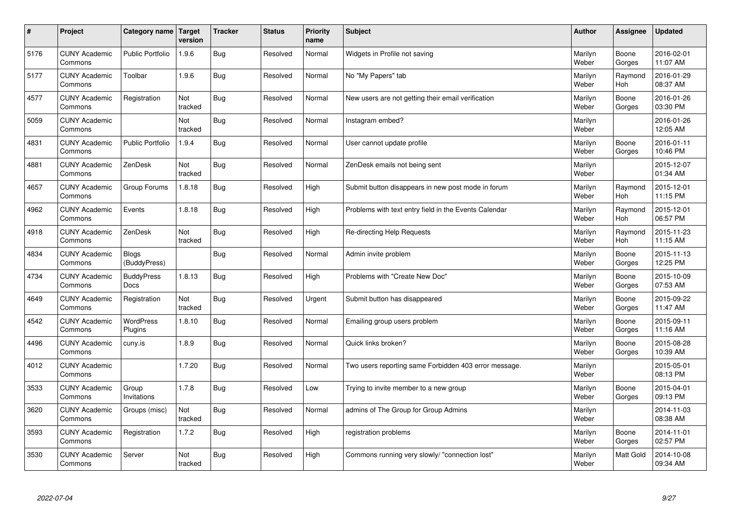| $\sharp$ | Project                         | Category name   Target       | version        | <b>Tracker</b> | <b>Status</b> | <b>Priority</b><br>name | <b>Subject</b>                                        | <b>Author</b>    | Assignee              | <b>Updated</b>         |
|----------|---------------------------------|------------------------------|----------------|----------------|---------------|-------------------------|-------------------------------------------------------|------------------|-----------------------|------------------------|
| 5176     | <b>CUNY Academic</b><br>Commons | <b>Public Portfolio</b>      | 1.9.6          | Bug            | Resolved      | Normal                  | Widgets in Profile not saving                         | Marilyn<br>Weber | Boone<br>Gorges       | 2016-02-01<br>11:07 AM |
| 5177     | <b>CUNY Academic</b><br>Commons | Toolbar                      | 1.9.6          | <b>Bug</b>     | Resolved      | Normal                  | No "My Papers" tab                                    | Marilyn<br>Weber | Raymond<br>Hoh        | 2016-01-29<br>08:37 AM |
| 4577     | <b>CUNY Academic</b><br>Commons | Registration                 | Not<br>tracked | Bug            | Resolved      | Normal                  | New users are not getting their email verification    | Marilyn<br>Weber | Boone<br>Gorges       | 2016-01-26<br>03:30 PM |
| 5059     | <b>CUNY Academic</b><br>Commons |                              | Not<br>tracked | Bug            | Resolved      | Normal                  | Instagram embed?                                      | Marilyn<br>Weber |                       | 2016-01-26<br>12:05 AM |
| 4831     | <b>CUNY Academic</b><br>Commons | <b>Public Portfolio</b>      | 1.9.4          | Bug            | Resolved      | Normal                  | User cannot update profile                            | Marilyn<br>Weber | Boone<br>Gorges       | 2016-01-11<br>10:46 PM |
| 4881     | <b>CUNY Academic</b><br>Commons | ZenDesk                      | Not<br>tracked | Bug            | Resolved      | Normal                  | ZenDesk emails not being sent                         | Marilyn<br>Weber |                       | 2015-12-07<br>01:34 AM |
| 4657     | <b>CUNY Academic</b><br>Commons | Group Forums                 | 1.8.18         | Bug            | Resolved      | High                    | Submit button disappears in new post mode in forum    | Marilyn<br>Weber | Raymond<br>Hoh        | 2015-12-01<br>11:15 PM |
| 4962     | <b>CUNY Academic</b><br>Commons | Events                       | 1.8.18         | Bug            | Resolved      | High                    | Problems with text entry field in the Events Calendar | Marilyn<br>Weber | Raymond<br>Hoh        | 2015-12-01<br>06:57 PM |
| 4918     | <b>CUNY Academic</b><br>Commons | ZenDesk                      | Not<br>tracked | Bug            | Resolved      | High                    | Re-directing Help Requests                            | Marilyn<br>Weber | Raymond<br><b>Hoh</b> | 2015-11-23<br>11:15 AM |
| 4834     | <b>CUNY Academic</b><br>Commons | <b>Blogs</b><br>(BuddyPress) |                | Bug            | Resolved      | Normal                  | Admin invite problem                                  | Marilyn<br>Weber | Boone<br>Gorges       | 2015-11-13<br>12:25 PM |
| 4734     | <b>CUNY Academic</b><br>Commons | <b>BuddyPress</b><br>Docs    | 1.8.13         | <b>Bug</b>     | Resolved      | High                    | Problems with "Create New Doc"                        | Marilyn<br>Weber | Boone<br>Gorges       | 2015-10-09<br>07:53 AM |
| 4649     | <b>CUNY Academic</b><br>Commons | Registration                 | Not<br>tracked | Bug            | Resolved      | Urgent                  | Submit button has disappeared                         | Marilyn<br>Weber | Boone<br>Gorges       | 2015-09-22<br>11:47 AM |
| 4542     | <b>CUNY Academic</b><br>Commons | <b>WordPress</b><br>Plugins  | 1.8.10         | Bug            | Resolved      | Normal                  | Emailing group users problem                          | Marilyn<br>Weber | Boone<br>Gorges       | 2015-09-11<br>11:16 AM |
| 4496     | <b>CUNY Academic</b><br>Commons | cuny.is                      | 1.8.9          | Bug            | Resolved      | Normal                  | Quick links broken?                                   | Marilyn<br>Weber | Boone<br>Gorges       | 2015-08-28<br>10:39 AM |
| 4012     | <b>CUNY Academic</b><br>Commons |                              | 1.7.20         | Bug            | Resolved      | Normal                  | Two users reporting same Forbidden 403 error message. | Marilyn<br>Weber |                       | 2015-05-01<br>08:13 PM |
| 3533     | <b>CUNY Academic</b><br>Commons | Group<br>Invitations         | 1.7.8          | Bug            | Resolved      | Low                     | Trying to invite member to a new group                | Marilyn<br>Weber | Boone<br>Gorges       | 2015-04-01<br>09:13 PM |
| 3620     | <b>CUNY Academic</b><br>Commons | Groups (misc)                | Not<br>tracked | Bug            | Resolved      | Normal                  | admins of The Group for Group Admins                  | Marilyn<br>Weber |                       | 2014-11-03<br>08:38 AM |
| 3593     | <b>CUNY Academic</b><br>Commons | Registration                 | 1.7.2          | Bug            | Resolved      | High                    | registration problems                                 | Marilyn<br>Weber | Boone<br>Gorges       | 2014-11-01<br>02:57 PM |
| 3530     | <b>CUNY Academic</b><br>Commons | Server                       | Not<br>tracked | Bug            | Resolved      | High                    | Commons running very slowly/ "connection lost"        | Marilyn<br>Weber | <b>Matt Gold</b>      | 2014-10-08<br>09:34 AM |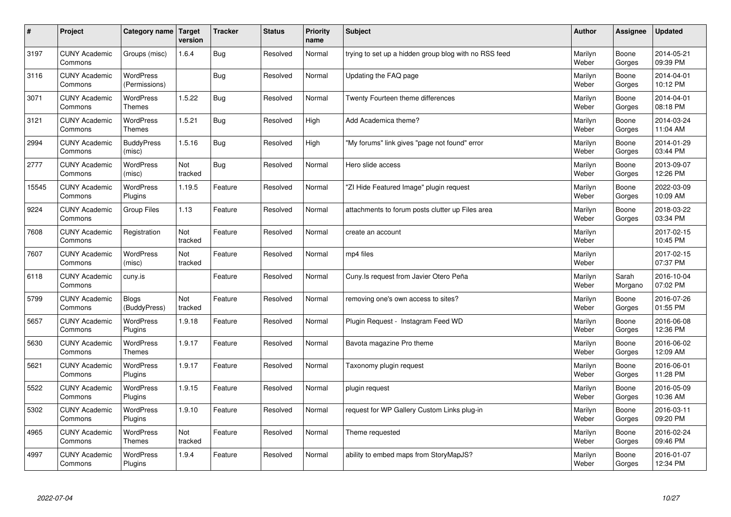| $\sharp$ | Project                         | Category name                     | Target<br>version | <b>Tracker</b> | <b>Status</b> | <b>Priority</b><br>name | <b>Subject</b>                                        | <b>Author</b>    | Assignee         | <b>Updated</b>         |
|----------|---------------------------------|-----------------------------------|-------------------|----------------|---------------|-------------------------|-------------------------------------------------------|------------------|------------------|------------------------|
| 3197     | <b>CUNY Academic</b><br>Commons | Groups (misc)                     | 1.6.4             | Bug            | Resolved      | Normal                  | trying to set up a hidden group blog with no RSS feed | Marilyn<br>Weber | Boone<br>Gorges  | 2014-05-21<br>09:39 PM |
| 3116     | <b>CUNY Academic</b><br>Commons | <b>WordPress</b><br>(Permissions) |                   | Bug            | Resolved      | Normal                  | Updating the FAQ page                                 | Marilyn<br>Weber | Boone<br>Gorges  | 2014-04-01<br>10:12 PM |
| 3071     | <b>CUNY Academic</b><br>Commons | <b>WordPress</b><br><b>Themes</b> | 1.5.22            | Bug            | Resolved      | Normal                  | Twenty Fourteen theme differences                     | Marilyn<br>Weber | Boone<br>Gorges  | 2014-04-01<br>08:18 PM |
| 3121     | <b>CUNY Academic</b><br>Commons | <b>WordPress</b><br><b>Themes</b> | 1.5.21            | Bug            | Resolved      | High                    | Add Academica theme?                                  | Marilyn<br>Weber | Boone<br>Gorges  | 2014-03-24<br>11:04 AM |
| 2994     | <b>CUNY Academic</b><br>Commons | <b>BuddyPress</b><br>(misc)       | 1.5.16            | Bug            | Resolved      | High                    | "My forums" link gives "page not found" error         | Marilyn<br>Weber | Boone<br>Gorges  | 2014-01-29<br>03:44 PM |
| 2777     | <b>CUNY Academic</b><br>Commons | WordPress<br>(misc)               | Not<br>tracked    | Bug            | Resolved      | Normal                  | Hero slide access                                     | Marilyn<br>Weber | Boone<br>Gorges  | 2013-09-07<br>12:26 PM |
| 15545    | <b>CUNY Academic</b><br>Commons | WordPress<br>Plugins              | 1.19.5            | Feature        | Resolved      | Normal                  | 'ZI Hide Featured Image" plugin request               | Marilyn<br>Weber | Boone<br>Gorges  | 2022-03-09<br>10:09 AM |
| 9224     | <b>CUNY Academic</b><br>Commons | Group Files                       | 1.13              | Feature        | Resolved      | Normal                  | attachments to forum posts clutter up Files area      | Marilyn<br>Weber | Boone<br>Gorges  | 2018-03-22<br>03:34 PM |
| 7608     | <b>CUNY Academic</b><br>Commons | Registration                      | Not<br>tracked    | Feature        | Resolved      | Normal                  | create an account                                     | Marilyn<br>Weber |                  | 2017-02-15<br>10:45 PM |
| 7607     | <b>CUNY Academic</b><br>Commons | WordPress<br>(misc)               | Not<br>tracked    | Feature        | Resolved      | Normal                  | mp4 files                                             | Marilyn<br>Weber |                  | 2017-02-15<br>07:37 PM |
| 6118     | <b>CUNY Academic</b><br>Commons | cuny.is                           |                   | Feature        | Resolved      | Normal                  | Cuny. Is request from Javier Otero Peña               | Marilyn<br>Weber | Sarah<br>Morgano | 2016-10-04<br>07:02 PM |
| 5799     | <b>CUNY Academic</b><br>Commons | <b>Blogs</b><br>(BuddyPress)      | Not<br>tracked    | Feature        | Resolved      | Normal                  | removing one's own access to sites?                   | Marilyn<br>Weber | Boone<br>Gorges  | 2016-07-26<br>01:55 PM |
| 5657     | <b>CUNY Academic</b><br>Commons | WordPress<br>Plugins              | 1.9.18            | Feature        | Resolved      | Normal                  | Plugin Request - Instagram Feed WD                    | Marilyn<br>Weber | Boone<br>Gorges  | 2016-06-08<br>12:36 PM |
| 5630     | <b>CUNY Academic</b><br>Commons | <b>WordPress</b><br><b>Themes</b> | 1.9.17            | Feature        | Resolved      | Normal                  | Bavota magazine Pro theme                             | Marilyn<br>Weber | Boone<br>Gorges  | 2016-06-02<br>12:09 AM |
| 5621     | <b>CUNY Academic</b><br>Commons | <b>WordPress</b><br>Plugins       | 1.9.17            | Feature        | Resolved      | Normal                  | Taxonomy plugin request                               | Marilyn<br>Weber | Boone<br>Gorges  | 2016-06-01<br>11:28 PM |
| 5522     | <b>CUNY Academic</b><br>Commons | <b>WordPress</b><br>Plugins       | 1.9.15            | Feature        | Resolved      | Normal                  | plugin request                                        | Marilyn<br>Weber | Boone<br>Gorges  | 2016-05-09<br>10:36 AM |
| 5302     | <b>CUNY Academic</b><br>Commons | WordPress<br>Plugins              | 1.9.10            | Feature        | Resolved      | Normal                  | request for WP Gallery Custom Links plug-in           | Marilyn<br>Weber | Boone<br>Gorges  | 2016-03-11<br>09:20 PM |
| 4965     | <b>CUNY Academic</b><br>Commons | WordPress<br><b>Themes</b>        | Not<br>tracked    | Feature        | Resolved      | Normal                  | Theme requested                                       | Marilyn<br>Weber | Boone<br>Gorges  | 2016-02-24<br>09:46 PM |
| 4997     | <b>CUNY Academic</b><br>Commons | <b>WordPress</b><br>Plugins       | 1.9.4             | Feature        | Resolved      | Normal                  | ability to embed maps from StoryMapJS?                | Marilyn<br>Weber | Boone<br>Gorges  | 2016-01-07<br>12:34 PM |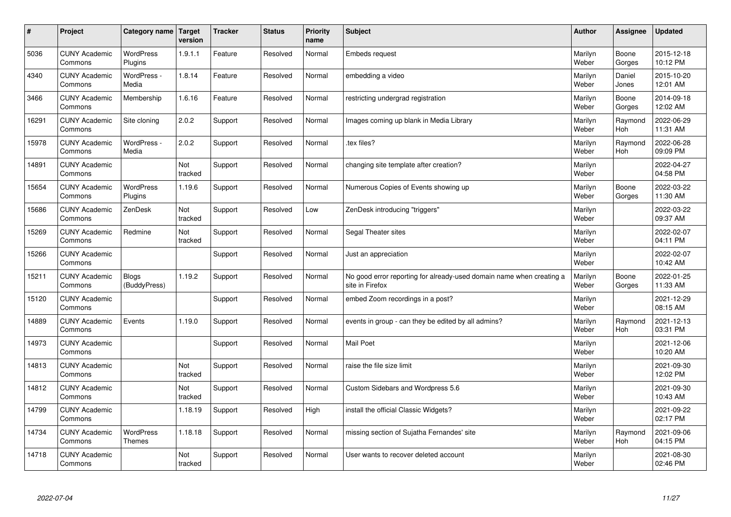| $\sharp$ | Project                         | Category name   Target       | version        | <b>Tracker</b> | <b>Status</b> | Priority<br>name | <b>Subject</b>                                                                          | <b>Author</b>    | <b>Assignee</b>       | <b>Updated</b>         |
|----------|---------------------------------|------------------------------|----------------|----------------|---------------|------------------|-----------------------------------------------------------------------------------------|------------------|-----------------------|------------------------|
| 5036     | <b>CUNY Academic</b><br>Commons | <b>WordPress</b><br>Plugins  | 1.9.1.1        | Feature        | Resolved      | Normal           | <b>Embeds request</b>                                                                   | Marilyn<br>Weber | Boone<br>Gorges       | 2015-12-18<br>10:12 PM |
| 4340     | <b>CUNY Academic</b><br>Commons | WordPress -<br>Media         | 1.8.14         | Feature        | Resolved      | Normal           | embedding a video                                                                       | Marilyn<br>Weber | Daniel<br>Jones       | 2015-10-20<br>12:01 AM |
| 3466     | <b>CUNY Academic</b><br>Commons | Membership                   | 1.6.16         | Feature        | Resolved      | Normal           | restricting undergrad registration                                                      | Marilyn<br>Weber | Boone<br>Gorges       | 2014-09-18<br>12:02 AM |
| 16291    | <b>CUNY Academic</b><br>Commons | Site cloning                 | 2.0.2          | Support        | Resolved      | Normal           | Images coming up blank in Media Library                                                 | Marilyn<br>Weber | Raymond<br><b>Hoh</b> | 2022-06-29<br>11:31 AM |
| 15978    | <b>CUNY Academic</b><br>Commons | WordPress -<br>Media         | 2.0.2          | Support        | Resolved      | Normal           | .tex files?                                                                             | Marilyn<br>Weber | Raymond<br><b>Hoh</b> | 2022-06-28<br>09:09 PM |
| 14891    | <b>CUNY Academic</b><br>Commons |                              | Not<br>tracked | Support        | Resolved      | Normal           | changing site template after creation?                                                  | Marilyn<br>Weber |                       | 2022-04-27<br>04:58 PM |
| 15654    | <b>CUNY Academic</b><br>Commons | <b>WordPress</b><br>Plugins  | 1.19.6         | Support        | Resolved      | Normal           | Numerous Copies of Events showing up                                                    | Marilyn<br>Weber | Boone<br>Gorges       | 2022-03-22<br>11:30 AM |
| 15686    | <b>CUNY Academic</b><br>Commons | ZenDesk                      | Not<br>tracked | Support        | Resolved      | Low              | ZenDesk introducing "triggers"                                                          | Marilyn<br>Weber |                       | 2022-03-22<br>09:37 AM |
| 15269    | <b>CUNY Academic</b><br>Commons | Redmine                      | Not<br>tracked | Support        | Resolved      | Normal           | Segal Theater sites                                                                     | Marilyn<br>Weber |                       | 2022-02-07<br>04:11 PM |
| 15266    | <b>CUNY Academic</b><br>Commons |                              |                | Support        | Resolved      | Normal           | Just an appreciation                                                                    | Marilyn<br>Weber |                       | 2022-02-07<br>10:42 AM |
| 15211    | <b>CUNY Academic</b><br>Commons | <b>Blogs</b><br>(BuddyPress) | 1.19.2         | Support        | Resolved      | Normal           | No good error reporting for already-used domain name when creating a<br>site in Firefox | Marilyn<br>Weber | Boone<br>Gorges       | 2022-01-25<br>11:33 AM |
| 15120    | <b>CUNY Academic</b><br>Commons |                              |                | Support        | Resolved      | Normal           | embed Zoom recordings in a post?                                                        | Marilyn<br>Weber |                       | 2021-12-29<br>08:15 AM |
| 14889    | <b>CUNY Academic</b><br>Commons | Events                       | 1.19.0         | Support        | Resolved      | Normal           | events in group - can they be edited by all admins?                                     | Marilyn<br>Weber | Raymond<br>Hoh        | 2021-12-13<br>03:31 PM |
| 14973    | <b>CUNY Academic</b><br>Commons |                              |                | Support        | Resolved      | Normal           | <b>Mail Poet</b>                                                                        | Marilyn<br>Weber |                       | 2021-12-06<br>10:20 AM |
| 14813    | <b>CUNY Academic</b><br>Commons |                              | Not<br>tracked | Support        | Resolved      | Normal           | raise the file size limit                                                               | Marilyn<br>Weber |                       | 2021-09-30<br>12:02 PM |
| 14812    | <b>CUNY Academic</b><br>Commons |                              | Not<br>tracked | Support        | Resolved      | Normal           | Custom Sidebars and Wordpress 5.6                                                       | Marilyn<br>Weber |                       | 2021-09-30<br>10:43 AM |
| 14799    | <b>CUNY Academic</b><br>Commons |                              | 1.18.19        | Support        | Resolved      | High             | install the official Classic Widgets?                                                   | Marilyn<br>Weber |                       | 2021-09-22<br>02:17 PM |
| 14734    | <b>CUNY Academic</b><br>Commons | WordPress<br>Themes          | 1.18.18        | Support        | Resolved      | Normal           | missing section of Sujatha Fernandes' site                                              | Marilyn<br>Weber | Raymond<br><b>Hoh</b> | 2021-09-06<br>04:15 PM |
| 14718    | <b>CUNY Academic</b><br>Commons |                              | Not<br>tracked | Support        | Resolved      | Normal           | User wants to recover deleted account                                                   | Marilyn<br>Weber |                       | 2021-08-30<br>02:46 PM |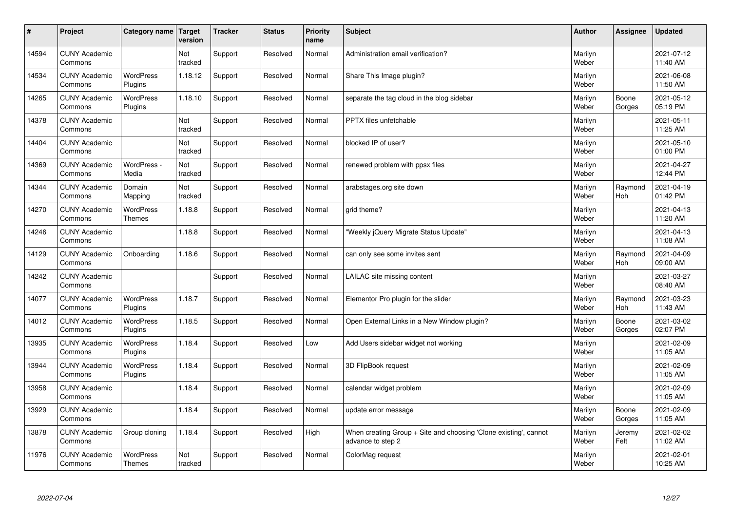| $\sharp$ | Project                         | Category name   Target            | version        | <b>Tracker</b> | <b>Status</b> | <b>Priority</b><br>name | <b>Subject</b>                                                                        | <b>Author</b>    | Assignee              | <b>Updated</b>         |
|----------|---------------------------------|-----------------------------------|----------------|----------------|---------------|-------------------------|---------------------------------------------------------------------------------------|------------------|-----------------------|------------------------|
| 14594    | <b>CUNY Academic</b><br>Commons |                                   | Not<br>tracked | Support        | Resolved      | Normal                  | Administration email verification?                                                    | Marilyn<br>Weber |                       | 2021-07-12<br>11:40 AM |
| 14534    | <b>CUNY Academic</b><br>Commons | <b>WordPress</b><br>Plugins       | 1.18.12        | Support        | Resolved      | Normal                  | Share This Image plugin?                                                              | Marilyn<br>Weber |                       | 2021-06-08<br>11:50 AM |
| 14265    | <b>CUNY Academic</b><br>Commons | <b>WordPress</b><br>Plugins       | 1.18.10        | Support        | Resolved      | Normal                  | separate the tag cloud in the blog sidebar                                            | Marilyn<br>Weber | Boone<br>Gorges       | 2021-05-12<br>05:19 PM |
| 14378    | <b>CUNY Academic</b><br>Commons |                                   | Not<br>tracked | Support        | Resolved      | Normal                  | <b>PPTX</b> files unfetchable                                                         | Marilyn<br>Weber |                       | 2021-05-11<br>11:25 AM |
| 14404    | <b>CUNY Academic</b><br>Commons |                                   | Not<br>tracked | Support        | Resolved      | Normal                  | blocked IP of user?                                                                   | Marilyn<br>Weber |                       | 2021-05-10<br>01:00 PM |
| 14369    | <b>CUNY Academic</b><br>Commons | WordPress -<br>Media              | Not<br>tracked | Support        | Resolved      | Normal                  | renewed problem with ppsx files                                                       | Marilyn<br>Weber |                       | 2021-04-27<br>12:44 PM |
| 14344    | <b>CUNY Academic</b><br>Commons | Domain<br>Mapping                 | Not<br>tracked | Support        | Resolved      | Normal                  | arabstages.org site down                                                              | Marilyn<br>Weber | Raymond<br>Hoh        | 2021-04-19<br>01:42 PM |
| 14270    | <b>CUNY Academic</b><br>Commons | <b>WordPress</b><br><b>Themes</b> | 1.18.8         | Support        | Resolved      | Normal                  | grid theme?                                                                           | Marilyn<br>Weber |                       | 2021-04-13<br>11:20 AM |
| 14246    | <b>CUNY Academic</b><br>Commons |                                   | 1.18.8         | Support        | Resolved      | Normal                  | 'Weekly jQuery Migrate Status Update"                                                 | Marilyn<br>Weber |                       | 2021-04-13<br>11:08 AM |
| 14129    | <b>CUNY Academic</b><br>Commons | Onboarding                        | 1.18.6         | Support        | Resolved      | Normal                  | can only see some invites sent                                                        | Marilyn<br>Weber | Raymond<br><b>Hoh</b> | 2021-04-09<br>09:00 AM |
| 14242    | <b>CUNY Academic</b><br>Commons |                                   |                | Support        | Resolved      | Normal                  | LAILAC site missing content                                                           | Marilyn<br>Weber |                       | 2021-03-27<br>08:40 AM |
| 14077    | <b>CUNY Academic</b><br>Commons | <b>WordPress</b><br>Plugins       | 1.18.7         | Support        | Resolved      | Normal                  | Elementor Pro plugin for the slider                                                   | Marilyn<br>Weber | Raymond<br><b>Hoh</b> | 2021-03-23<br>11:43 AM |
| 14012    | <b>CUNY Academic</b><br>Commons | <b>WordPress</b><br>Plugins       | 1.18.5         | Support        | Resolved      | Normal                  | Open External Links in a New Window plugin?                                           | Marilyn<br>Weber | Boone<br>Gorges       | 2021-03-02<br>02:07 PM |
| 13935    | <b>CUNY Academic</b><br>Commons | <b>WordPress</b><br>Plugins       | 1.18.4         | Support        | Resolved      | Low                     | Add Users sidebar widget not working                                                  | Marilyn<br>Weber |                       | 2021-02-09<br>11:05 AM |
| 13944    | <b>CUNY Academic</b><br>Commons | WordPress<br>Plugins              | 1.18.4         | Support        | Resolved      | Normal                  | 3D FlipBook request                                                                   | Marilyn<br>Weber |                       | 2021-02-09<br>11:05 AM |
| 13958    | <b>CUNY Academic</b><br>Commons |                                   | 1.18.4         | Support        | Resolved      | Normal                  | calendar widget problem                                                               | Marilyn<br>Weber |                       | 2021-02-09<br>11:05 AM |
| 13929    | <b>CUNY Academic</b><br>Commons |                                   | 1.18.4         | Support        | Resolved      | Normal                  | update error message                                                                  | Marilyn<br>Weber | Boone<br>Gorges       | 2021-02-09<br>11:05 AM |
| 13878    | <b>CUNY Academic</b><br>Commons | Group cloning                     | 1.18.4         | Support        | Resolved      | High                    | When creating Group + Site and choosing 'Clone existing', cannot<br>advance to step 2 | Marilyn<br>Weber | Jeremy<br>Felt        | 2021-02-02<br>11:02 AM |
| 11976    | <b>CUNY Academic</b><br>Commons | WordPress<br><b>Themes</b>        | Not<br>tracked | Support        | Resolved      | Normal                  | ColorMag request                                                                      | Marilyn<br>Weber |                       | 2021-02-01<br>10:25 AM |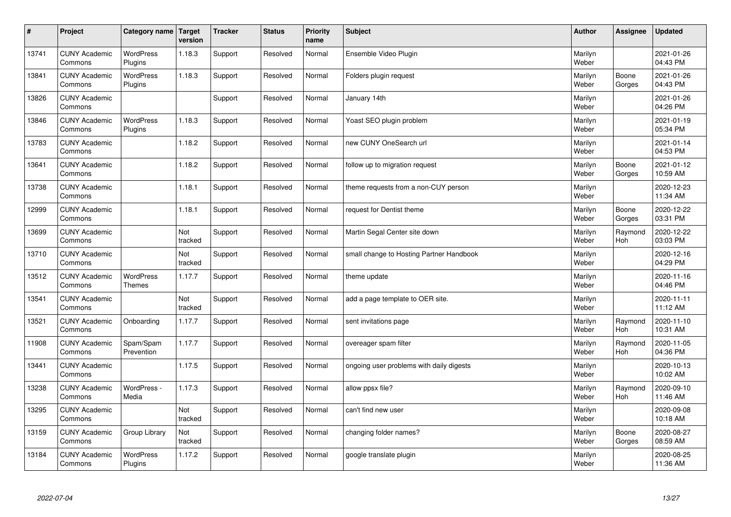| $\sharp$ | Project                         | Category name   Target      | version        | <b>Tracker</b> | <b>Status</b> | <b>Priority</b><br>name | <b>Subject</b>                           | <b>Author</b>    | <b>Assignee</b>       | <b>Updated</b>         |
|----------|---------------------------------|-----------------------------|----------------|----------------|---------------|-------------------------|------------------------------------------|------------------|-----------------------|------------------------|
| 13741    | <b>CUNY Academic</b><br>Commons | <b>WordPress</b><br>Plugins | 1.18.3         | Support        | Resolved      | Normal                  | Ensemble Video Plugin                    | Marilyn<br>Weber |                       | 2021-01-26<br>04:43 PM |
| 13841    | <b>CUNY Academic</b><br>Commons | <b>WordPress</b><br>Plugins | 1.18.3         | Support        | Resolved      | Normal                  | Folders plugin request                   | Marilyn<br>Weber | Boone<br>Gorges       | 2021-01-26<br>04:43 PM |
| 13826    | <b>CUNY Academic</b><br>Commons |                             |                | Support        | Resolved      | Normal                  | January 14th                             | Marilyn<br>Weber |                       | 2021-01-26<br>04:26 PM |
| 13846    | <b>CUNY Academic</b><br>Commons | <b>WordPress</b><br>Plugins | 1.18.3         | Support        | Resolved      | Normal                  | Yoast SEO plugin problem                 | Marilyn<br>Weber |                       | 2021-01-19<br>05:34 PM |
| 13783    | <b>CUNY Academic</b><br>Commons |                             | 1.18.2         | Support        | Resolved      | Normal                  | new CUNY OneSearch url                   | Marilyn<br>Weber |                       | 2021-01-14<br>04:53 PM |
| 13641    | <b>CUNY Academic</b><br>Commons |                             | 1.18.2         | Support        | Resolved      | Normal                  | follow up to migration request           | Marilyn<br>Weber | Boone<br>Gorges       | 2021-01-12<br>10:59 AM |
| 13738    | <b>CUNY Academic</b><br>Commons |                             | 1.18.1         | Support        | Resolved      | Normal                  | theme requests from a non-CUY person     | Marilyn<br>Weber |                       | 2020-12-23<br>11:34 AM |
| 12999    | <b>CUNY Academic</b><br>Commons |                             | 1.18.1         | Support        | Resolved      | Normal                  | request for Dentist theme                | Marilyn<br>Weber | Boone<br>Gorges       | 2020-12-22<br>03:31 PM |
| 13699    | <b>CUNY Academic</b><br>Commons |                             | Not<br>tracked | Support        | Resolved      | Normal                  | Martin Segal Center site down            | Marilyn<br>Weber | Raymond<br><b>Hoh</b> | 2020-12-22<br>03:03 PM |
| 13710    | <b>CUNY Academic</b><br>Commons |                             | Not<br>tracked | Support        | Resolved      | Normal                  | small change to Hosting Partner Handbook | Marilyn<br>Weber |                       | 2020-12-16<br>04:29 PM |
| 13512    | <b>CUNY Academic</b><br>Commons | WordPress<br>Themes         | 1.17.7         | Support        | Resolved      | Normal                  | theme update                             | Marilyn<br>Weber |                       | 2020-11-16<br>04:46 PM |
| 13541    | <b>CUNY Academic</b><br>Commons |                             | Not<br>tracked | Support        | Resolved      | Normal                  | add a page template to OER site.         | Marilyn<br>Weber |                       | 2020-11-11<br>11:12 AM |
| 13521    | <b>CUNY Academic</b><br>Commons | Onboarding                  | 1.17.7         | Support        | Resolved      | Normal                  | sent invitations page                    | Marilyn<br>Weber | Raymond<br>Hoh        | 2020-11-10<br>10:31 AM |
| 11908    | <b>CUNY Academic</b><br>Commons | Spam/Spam<br>Prevention     | 1.17.7         | Support        | Resolved      | Normal                  | overeager spam filter                    | Marilyn<br>Weber | Raymond<br>Hoh        | 2020-11-05<br>04:36 PM |
| 13441    | <b>CUNY Academic</b><br>Commons |                             | 1.17.5         | Support        | Resolved      | Normal                  | ongoing user problems with daily digests | Marilyn<br>Weber |                       | 2020-10-13<br>10:02 AM |
| 13238    | <b>CUNY Academic</b><br>Commons | WordPress -<br>Media        | 1.17.3         | Support        | Resolved      | Normal                  | allow ppsx file?                         | Marilyn<br>Weber | Raymond<br><b>Hoh</b> | 2020-09-10<br>11:46 AM |
| 13295    | <b>CUNY Academic</b><br>Commons |                             | Not<br>tracked | Support        | Resolved      | Normal                  | can't find new user                      | Marilyn<br>Weber |                       | 2020-09-08<br>10:18 AM |
| 13159    | <b>CUNY Academic</b><br>Commons | Group Library               | Not<br>tracked | Support        | Resolved      | Normal                  | changing folder names?                   | Marilyn<br>Weber | Boone<br>Gorges       | 2020-08-27<br>08:59 AM |
| 13184    | <b>CUNY Academic</b><br>Commons | <b>WordPress</b><br>Plugins | 1.17.2         | Support        | Resolved      | Normal                  | google translate plugin                  | Marilyn<br>Weber |                       | 2020-08-25<br>11:36 AM |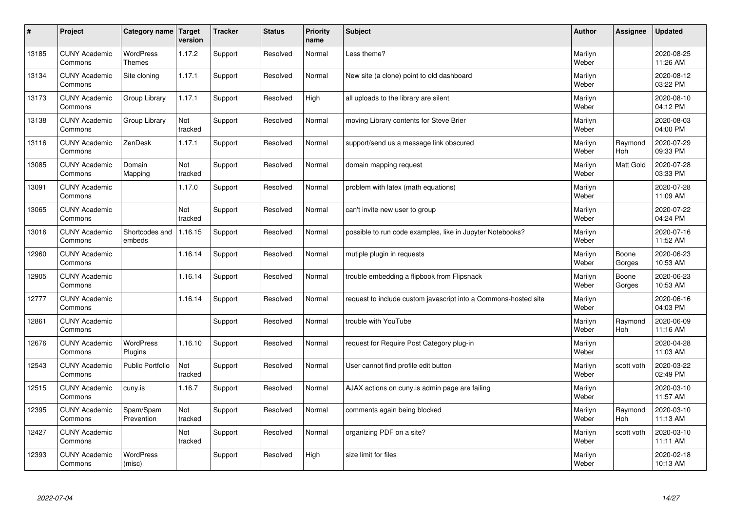| $\pmb{\#}$ | Project                         | Category name                     | Target<br>version | <b>Tracker</b> | <b>Status</b> | <b>Priority</b><br>name | <b>Subject</b>                                                  | <b>Author</b>    | Assignee        | <b>Updated</b>         |
|------------|---------------------------------|-----------------------------------|-------------------|----------------|---------------|-------------------------|-----------------------------------------------------------------|------------------|-----------------|------------------------|
| 13185      | <b>CUNY Academic</b><br>Commons | <b>WordPress</b><br><b>Themes</b> | 1.17.2            | Support        | Resolved      | Normal                  | Less theme?                                                     | Marilyn<br>Weber |                 | 2020-08-25<br>11:26 AM |
| 13134      | <b>CUNY Academic</b><br>Commons | Site cloning                      | 1.17.1            | Support        | Resolved      | Normal                  | New site (a clone) point to old dashboard                       | Marilyn<br>Weber |                 | 2020-08-12<br>03:22 PM |
| 13173      | <b>CUNY Academic</b><br>Commons | Group Library                     | 1.17.1            | Support        | Resolved      | High                    | all uploads to the library are silent                           | Marilyn<br>Weber |                 | 2020-08-10<br>04:12 PM |
| 13138      | <b>CUNY Academic</b><br>Commons | Group Library                     | Not<br>tracked    | Support        | Resolved      | Normal                  | moving Library contents for Steve Brier                         | Marilyn<br>Weber |                 | 2020-08-03<br>04:00 PM |
| 13116      | <b>CUNY Academic</b><br>Commons | ZenDesk                           | 1.17.1            | Support        | Resolved      | Normal                  | support/send us a message link obscured                         | Marilyn<br>Weber | Raymond<br>Hoh  | 2020-07-29<br>09:33 PM |
| 13085      | <b>CUNY Academic</b><br>Commons | Domain<br>Mapping                 | Not<br>tracked    | Support        | Resolved      | Normal                  | domain mapping request                                          | Marilyn<br>Weber | Matt Gold       | 2020-07-28<br>03:33 PM |
| 13091      | <b>CUNY Academic</b><br>Commons |                                   | 1.17.0            | Support        | Resolved      | Normal                  | problem with latex (math equations)                             | Marilyn<br>Weber |                 | 2020-07-28<br>11:09 AM |
| 13065      | <b>CUNY Academic</b><br>Commons |                                   | Not<br>tracked    | Support        | Resolved      | Normal                  | can't invite new user to group                                  | Marilyn<br>Weber |                 | 2020-07-22<br>04:24 PM |
| 13016      | <b>CUNY Academic</b><br>Commons | Shortcodes and<br>embeds          | 1.16.15           | Support        | Resolved      | Normal                  | possible to run code examples, like in Jupyter Notebooks?       | Marilyn<br>Weber |                 | 2020-07-16<br>11:52 AM |
| 12960      | <b>CUNY Academic</b><br>Commons |                                   | 1.16.14           | Support        | Resolved      | Normal                  | mutiple plugin in requests                                      | Marilyn<br>Weber | Boone<br>Gorges | 2020-06-23<br>10:53 AM |
| 12905      | <b>CUNY Academic</b><br>Commons |                                   | 1.16.14           | Support        | Resolved      | Normal                  | trouble embedding a flipbook from Flipsnack                     | Marilyn<br>Weber | Boone<br>Gorges | 2020-06-23<br>10:53 AM |
| 12777      | <b>CUNY Academic</b><br>Commons |                                   | 1.16.14           | Support        | Resolved      | Normal                  | request to include custom javascript into a Commons-hosted site | Marilyn<br>Weber |                 | 2020-06-16<br>04:03 PM |
| 12861      | <b>CUNY Academic</b><br>Commons |                                   |                   | Support        | Resolved      | Normal                  | trouble with YouTube                                            | Marilyn<br>Weber | Raymond<br>Hoh  | 2020-06-09<br>11:16 AM |
| 12676      | <b>CUNY Academic</b><br>Commons | <b>WordPress</b><br>Plugins       | 1.16.10           | Support        | Resolved      | Normal                  | request for Require Post Category plug-in                       | Marilyn<br>Weber |                 | 2020-04-28<br>11:03 AM |
| 12543      | <b>CUNY Academic</b><br>Commons | Public Portfolio                  | Not<br>tracked    | Support        | Resolved      | Normal                  | User cannot find profile edit button                            | Marilyn<br>Weber | scott voth      | 2020-03-22<br>02:49 PM |
| 12515      | <b>CUNY Academic</b><br>Commons | cuny.is                           | 1.16.7            | Support        | Resolved      | Normal                  | AJAX actions on cuny is admin page are failing                  | Marilyn<br>Weber |                 | 2020-03-10<br>11:57 AM |
| 12395      | <b>CUNY Academic</b><br>Commons | Spam/Spam<br>Prevention           | Not<br>tracked    | Support        | Resolved      | Normal                  | comments again being blocked                                    | Marilyn<br>Weber | Raymond<br>Hoh  | 2020-03-10<br>11:13 AM |
| 12427      | <b>CUNY Academic</b><br>Commons |                                   | Not<br>tracked    | Support        | Resolved      | Normal                  | organizing PDF on a site?                                       | Marilyn<br>Weber | scott voth      | 2020-03-10<br>11:11 AM |
| 12393      | <b>CUNY Academic</b><br>Commons | <b>WordPress</b><br>(misc)        |                   | Support        | Resolved      | High                    | size limit for files                                            | Marilyn<br>Weber |                 | 2020-02-18<br>10:13 AM |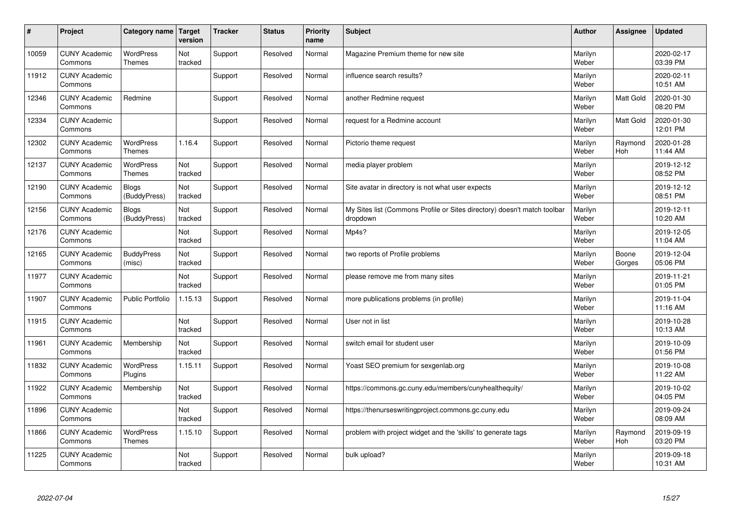| #     | Project                         | Category name   Target            | version        | <b>Tracker</b> | <b>Status</b> | <b>Priority</b><br>name | <b>Subject</b>                                                                       | <b>Author</b>    | Assignee              | <b>Updated</b>         |
|-------|---------------------------------|-----------------------------------|----------------|----------------|---------------|-------------------------|--------------------------------------------------------------------------------------|------------------|-----------------------|------------------------|
| 10059 | <b>CUNY Academic</b><br>Commons | <b>WordPress</b><br><b>Themes</b> | Not<br>tracked | Support        | Resolved      | Normal                  | Magazine Premium theme for new site                                                  | Marilyn<br>Weber |                       | 2020-02-17<br>03:39 PM |
| 11912 | <b>CUNY Academic</b><br>Commons |                                   |                | Support        | Resolved      | Normal                  | influence search results?                                                            | Marilyn<br>Weber |                       | 2020-02-11<br>10:51 AM |
| 12346 | <b>CUNY Academic</b><br>Commons | Redmine                           |                | Support        | Resolved      | Normal                  | another Redmine request                                                              | Marilyn<br>Weber | Matt Gold             | 2020-01-30<br>08:20 PM |
| 12334 | <b>CUNY Academic</b><br>Commons |                                   |                | Support        | Resolved      | Normal                  | request for a Redmine account                                                        | Marilyn<br>Weber | Matt Gold             | 2020-01-30<br>12:01 PM |
| 12302 | <b>CUNY Academic</b><br>Commons | <b>WordPress</b><br><b>Themes</b> | 1.16.4         | Support        | Resolved      | Normal                  | Pictorio theme request                                                               | Marilyn<br>Weber | Raymond<br><b>Hoh</b> | 2020-01-28<br>11:44 AM |
| 12137 | <b>CUNY Academic</b><br>Commons | <b>WordPress</b><br><b>Themes</b> | Not<br>tracked | Support        | Resolved      | Normal                  | media player problem                                                                 | Marilyn<br>Weber |                       | 2019-12-12<br>08:52 PM |
| 12190 | <b>CUNY Academic</b><br>Commons | Blogs<br>(BuddyPress)             | Not<br>tracked | Support        | Resolved      | Normal                  | Site avatar in directory is not what user expects                                    | Marilyn<br>Weber |                       | 2019-12-12<br>08:51 PM |
| 12156 | <b>CUNY Academic</b><br>Commons | <b>Blogs</b><br>(BuddyPress)      | Not<br>tracked | Support        | Resolved      | Normal                  | My Sites list (Commons Profile or Sites directory) doesn't match toolbar<br>dropdown | Marilyn<br>Weber |                       | 2019-12-11<br>10:20 AM |
| 12176 | <b>CUNY Academic</b><br>Commons |                                   | Not<br>tracked | Support        | Resolved      | Normal                  | Mp4s?                                                                                | Marilyn<br>Weber |                       | 2019-12-05<br>11:04 AM |
| 12165 | <b>CUNY Academic</b><br>Commons | <b>BuddyPress</b><br>(misc)       | Not<br>tracked | Support        | Resolved      | Normal                  | two reports of Profile problems                                                      | Marilyn<br>Weber | Boone<br>Gorges       | 2019-12-04<br>05:06 PM |
| 11977 | <b>CUNY Academic</b><br>Commons |                                   | Not<br>tracked | Support        | Resolved      | Normal                  | please remove me from many sites                                                     | Marilyn<br>Weber |                       | 2019-11-21<br>01:05 PM |
| 11907 | <b>CUNY Academic</b><br>Commons | Public Portfolio                  | 1.15.13        | Support        | Resolved      | Normal                  | more publications problems (in profile)                                              | Marilyn<br>Weber |                       | 2019-11-04<br>11:16 AM |
| 11915 | <b>CUNY Academic</b><br>Commons |                                   | Not<br>tracked | Support        | Resolved      | Normal                  | User not in list                                                                     | Marilyn<br>Weber |                       | 2019-10-28<br>10:13 AM |
| 11961 | <b>CUNY Academic</b><br>Commons | Membership                        | Not<br>tracked | Support        | Resolved      | Normal                  | switch email for student user                                                        | Marilyn<br>Weber |                       | 2019-10-09<br>01:56 PM |
| 11832 | <b>CUNY Academic</b><br>Commons | WordPress<br>Plugins              | 1.15.11        | Support        | Resolved      | Normal                  | Yoast SEO premium for sexgenlab.org                                                  | Marilyn<br>Weber |                       | 2019-10-08<br>11:22 AM |
| 11922 | <b>CUNY Academic</b><br>Commons | Membership                        | Not<br>tracked | Support        | Resolved      | Normal                  | https://commons.gc.cuny.edu/members/cunyhealthequity/                                | Marilyn<br>Weber |                       | 2019-10-02<br>04:05 PM |
| 11896 | <b>CUNY Academic</b><br>Commons |                                   | Not<br>tracked | Support        | Resolved      | Normal                  | https://thenurseswritingproject.commons.gc.cuny.edu                                  | Marilyn<br>Weber |                       | 2019-09-24<br>08:09 AM |
| 11866 | <b>CUNY Academic</b><br>Commons | <b>WordPress</b><br><b>Themes</b> | 1.15.10        | Support        | Resolved      | Normal                  | problem with project widget and the 'skills' to generate tags                        | Marilyn<br>Weber | Raymond<br>Hoh        | 2019-09-19<br>03:20 PM |
| 11225 | <b>CUNY Academic</b><br>Commons |                                   | Not<br>tracked | Support        | Resolved      | Normal                  | bulk upload?                                                                         | Marilyn<br>Weber |                       | 2019-09-18<br>10:31 AM |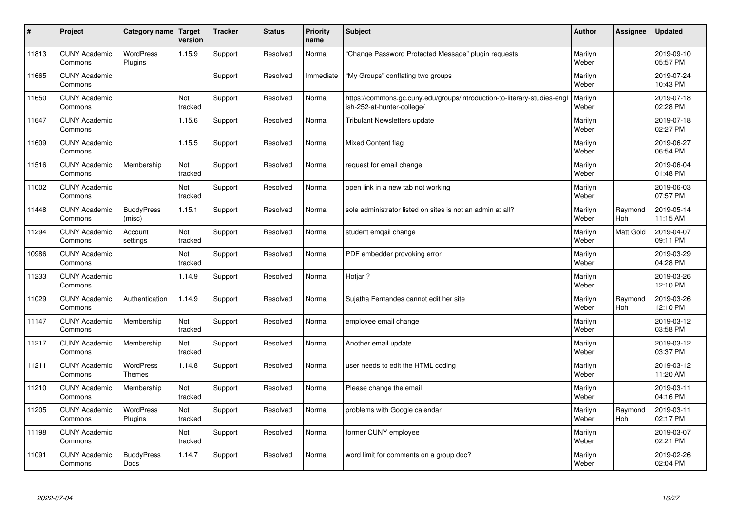| $\sharp$ | Project                         | Category name   Target            | version        | <b>Tracker</b> | <b>Status</b> | <b>Priority</b><br>name | <b>Subject</b>                                                                                        | <b>Author</b>    | Assignee              | <b>Updated</b>         |
|----------|---------------------------------|-----------------------------------|----------------|----------------|---------------|-------------------------|-------------------------------------------------------------------------------------------------------|------------------|-----------------------|------------------------|
| 11813    | <b>CUNY Academic</b><br>Commons | <b>WordPress</b><br>Plugins       | 1.15.9         | Support        | Resolved      | Normal                  | 'Change Password Protected Message" plugin requests                                                   | Marilyn<br>Weber |                       | 2019-09-10<br>05:57 PM |
| 11665    | <b>CUNY Academic</b><br>Commons |                                   |                | Support        | Resolved      | Immediate               | 'My Groups" conflating two groups                                                                     | Marilyn<br>Weber |                       | 2019-07-24<br>10:43 PM |
| 11650    | <b>CUNY Academic</b><br>Commons |                                   | Not<br>tracked | Support        | Resolved      | Normal                  | https://commons.gc.cuny.edu/groups/introduction-to-literary-studies-eng<br>ish-252-at-hunter-college/ | Marilyn<br>Weber |                       | 2019-07-18<br>02:28 PM |
| 11647    | <b>CUNY Academic</b><br>Commons |                                   | 1.15.6         | Support        | Resolved      | Normal                  | <b>Tribulant Newsletters update</b>                                                                   | Marilyn<br>Weber |                       | 2019-07-18<br>02:27 PM |
| 11609    | <b>CUNY Academic</b><br>Commons |                                   | 1.15.5         | Support        | Resolved      | Normal                  | Mixed Content flag                                                                                    | Marilyn<br>Weber |                       | 2019-06-27<br>06:54 PM |
| 11516    | <b>CUNY Academic</b><br>Commons | Membership                        | Not<br>tracked | Support        | Resolved      | Normal                  | request for email change                                                                              | Marilyn<br>Weber |                       | 2019-06-04<br>01:48 PM |
| 11002    | <b>CUNY Academic</b><br>Commons |                                   | Not<br>tracked | Support        | Resolved      | Normal                  | open link in a new tab not working                                                                    | Marilyn<br>Weber |                       | 2019-06-03<br>07:57 PM |
| 11448    | <b>CUNY Academic</b><br>Commons | <b>BuddyPress</b><br>(misc)       | 1.15.1         | Support        | Resolved      | Normal                  | sole administrator listed on sites is not an admin at all?                                            | Marilyn<br>Weber | Raymond<br><b>Hoh</b> | 2019-05-14<br>11:15 AM |
| 11294    | <b>CUNY Academic</b><br>Commons | Account<br>settings               | Not<br>tracked | Support        | Resolved      | Normal                  | student emgail change                                                                                 | Marilyn<br>Weber | <b>Matt Gold</b>      | 2019-04-07<br>09:11 PM |
| 10986    | <b>CUNY Academic</b><br>Commons |                                   | Not<br>tracked | Support        | Resolved      | Normal                  | PDF embedder provoking error                                                                          | Marilyn<br>Weber |                       | 2019-03-29<br>04:28 PM |
| 11233    | <b>CUNY Academic</b><br>Commons |                                   | 1.14.9         | Support        | Resolved      | Normal                  | Hotjar?                                                                                               | Marilyn<br>Weber |                       | 2019-03-26<br>12:10 PM |
| 11029    | <b>CUNY Academic</b><br>Commons | Authentication                    | 1.14.9         | Support        | Resolved      | Normal                  | Sujatha Fernandes cannot edit her site                                                                | Marilyn<br>Weber | Raymond<br><b>Hoh</b> | 2019-03-26<br>12:10 PM |
| 11147    | <b>CUNY Academic</b><br>Commons | Membership                        | Not<br>tracked | Support        | Resolved      | Normal                  | employee email change                                                                                 | Marilyn<br>Weber |                       | 2019-03-12<br>03:58 PM |
| 11217    | <b>CUNY Academic</b><br>Commons | Membership                        | Not<br>tracked | Support        | Resolved      | Normal                  | Another email update                                                                                  | Marilyn<br>Weber |                       | 2019-03-12<br>03:37 PM |
| 11211    | <b>CUNY Academic</b><br>Commons | <b>WordPress</b><br><b>Themes</b> | 1.14.8         | Support        | Resolved      | Normal                  | user needs to edit the HTML coding                                                                    | Marilyn<br>Weber |                       | 2019-03-12<br>11:20 AM |
| 11210    | <b>CUNY Academic</b><br>Commons | Membership                        | Not<br>tracked | Support        | Resolved      | Normal                  | Please change the email                                                                               | Marilyn<br>Weber |                       | 2019-03-11<br>04:16 PM |
| 11205    | <b>CUNY Academic</b><br>Commons | WordPress<br>Plugins              | Not<br>tracked | Support        | Resolved      | Normal                  | problems with Google calendar                                                                         | Marilyn<br>Weber | Raymond<br>Hoh        | 2019-03-11<br>02:17 PM |
| 11198    | <b>CUNY Academic</b><br>Commons |                                   | Not<br>tracked | Support        | Resolved      | Normal                  | former CUNY employee                                                                                  | Marilyn<br>Weber |                       | 2019-03-07<br>02:21 PM |
| 11091    | <b>CUNY Academic</b><br>Commons | <b>BuddyPress</b><br>Docs         | 1.14.7         | Support        | Resolved      | Normal                  | word limit for comments on a group doc?                                                               | Marilyn<br>Weber |                       | 2019-02-26<br>02:04 PM |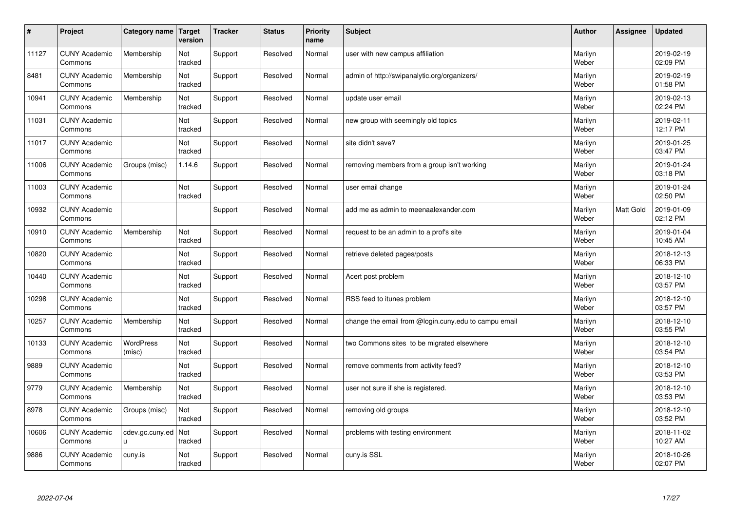| $\pmb{\#}$ | Project                         | Category name              | Target<br>version | <b>Tracker</b> | <b>Status</b> | <b>Priority</b><br>name | <b>Subject</b>                                       | <b>Author</b>    | Assignee  | <b>Updated</b>         |
|------------|---------------------------------|----------------------------|-------------------|----------------|---------------|-------------------------|------------------------------------------------------|------------------|-----------|------------------------|
| 11127      | <b>CUNY Academic</b><br>Commons | Membership                 | Not<br>tracked    | Support        | Resolved      | Normal                  | user with new campus affiliation                     | Marilyn<br>Weber |           | 2019-02-19<br>02:09 PM |
| 8481       | <b>CUNY Academic</b><br>Commons | Membership                 | Not<br>tracked    | Support        | Resolved      | Normal                  | admin of http://swipanalytic.org/organizers/         | Marilyn<br>Weber |           | 2019-02-19<br>01:58 PM |
| 10941      | <b>CUNY Academic</b><br>Commons | Membership                 | Not<br>tracked    | Support        | Resolved      | Normal                  | update user email                                    | Marilyn<br>Weber |           | 2019-02-13<br>02:24 PM |
| 11031      | <b>CUNY Academic</b><br>Commons |                            | Not<br>tracked    | Support        | Resolved      | Normal                  | new group with seemingly old topics                  | Marilyn<br>Weber |           | 2019-02-11<br>12:17 PM |
| 11017      | <b>CUNY Academic</b><br>Commons |                            | Not<br>tracked    | Support        | Resolved      | Normal                  | site didn't save?                                    | Marilyn<br>Weber |           | 2019-01-25<br>03:47 PM |
| 11006      | <b>CUNY Academic</b><br>Commons | Groups (misc)              | 1.14.6            | Support        | Resolved      | Normal                  | removing members from a group isn't working          | Marilyn<br>Weber |           | 2019-01-24<br>03:18 PM |
| 11003      | <b>CUNY Academic</b><br>Commons |                            | Not<br>tracked    | Support        | Resolved      | Normal                  | user email change                                    | Marilyn<br>Weber |           | 2019-01-24<br>02:50 PM |
| 10932      | <b>CUNY Academic</b><br>Commons |                            |                   | Support        | Resolved      | Normal                  | add me as admin to meenaalexander.com                | Marilyn<br>Weber | Matt Gold | 2019-01-09<br>02:12 PM |
| 10910      | <b>CUNY Academic</b><br>Commons | Membership                 | Not<br>tracked    | Support        | Resolved      | Normal                  | request to be an admin to a prof's site              | Marilyn<br>Weber |           | 2019-01-04<br>10:45 AM |
| 10820      | <b>CUNY Academic</b><br>Commons |                            | Not<br>tracked    | Support        | Resolved      | Normal                  | retrieve deleted pages/posts                         | Marilyn<br>Weber |           | 2018-12-13<br>06:33 PM |
| 10440      | <b>CUNY Academic</b><br>Commons |                            | Not<br>tracked    | Support        | Resolved      | Normal                  | Acert post problem                                   | Marilyn<br>Weber |           | 2018-12-10<br>03:57 PM |
| 10298      | <b>CUNY Academic</b><br>Commons |                            | Not<br>tracked    | Support        | Resolved      | Normal                  | RSS feed to itunes problem                           | Marilyn<br>Weber |           | 2018-12-10<br>03:57 PM |
| 10257      | <b>CUNY Academic</b><br>Commons | Membership                 | Not<br>tracked    | Support        | Resolved      | Normal                  | change the email from @login.cuny.edu to campu email | Marilyn<br>Weber |           | 2018-12-10<br>03:55 PM |
| 10133      | <b>CUNY Academic</b><br>Commons | <b>WordPress</b><br>(misc) | Not<br>tracked    | Support        | Resolved      | Normal                  | two Commons sites to be migrated elsewhere           | Marilyn<br>Weber |           | 2018-12-10<br>03:54 PM |
| 9889       | <b>CUNY Academic</b><br>Commons |                            | Not<br>tracked    | Support        | Resolved      | Normal                  | remove comments from activity feed?                  | Marilyn<br>Weber |           | 2018-12-10<br>03:53 PM |
| 9779       | <b>CUNY Academic</b><br>Commons | Membership                 | Not<br>tracked    | Support        | Resolved      | Normal                  | user not sure if she is registered.                  | Marilyn<br>Weber |           | 2018-12-10<br>03:53 PM |
| 8978       | <b>CUNY Academic</b><br>Commons | Groups (misc)              | Not<br>tracked    | Support        | Resolved      | Normal                  | removing old groups                                  | Marilyn<br>Weber |           | 2018-12-10<br>03:52 PM |
| 10606      | <b>CUNY Academic</b><br>Commons | cdev.gc.cuny.ed<br>u       | Not<br>tracked    | Support        | Resolved      | Normal                  | problems with testing environment                    | Marilyn<br>Weber |           | 2018-11-02<br>10:27 AM |
| 9886       | <b>CUNY Academic</b><br>Commons | cuny.is                    | Not<br>tracked    | Support        | Resolved      | Normal                  | cuny.is SSL                                          | Marilyn<br>Weber |           | 2018-10-26<br>02:07 PM |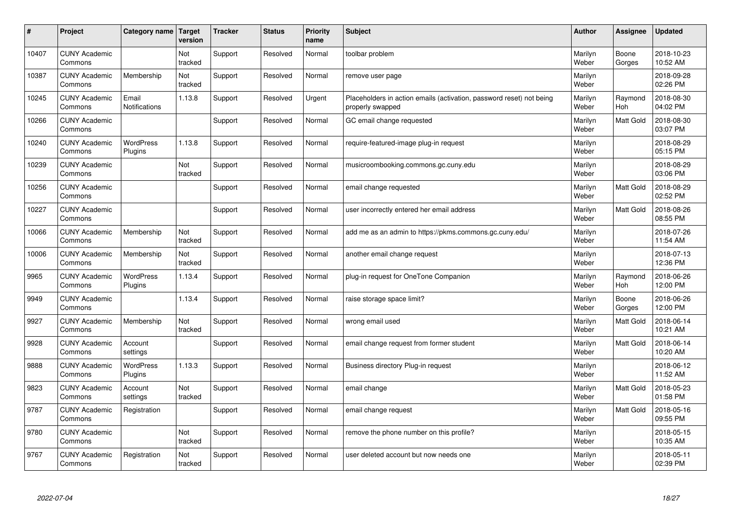| #     | Project                         | Category name   Target        | version        | <b>Tracker</b> | <b>Status</b> | <b>Priority</b><br>name | <b>Subject</b>                                                                           | <b>Author</b>    | Assignee         | <b>Updated</b>         |
|-------|---------------------------------|-------------------------------|----------------|----------------|---------------|-------------------------|------------------------------------------------------------------------------------------|------------------|------------------|------------------------|
| 10407 | <b>CUNY Academic</b><br>Commons |                               | Not<br>tracked | Support        | Resolved      | Normal                  | toolbar problem                                                                          | Marilyn<br>Weber | Boone<br>Gorges  | 2018-10-23<br>10:52 AM |
| 10387 | <b>CUNY Academic</b><br>Commons | Membership                    | Not<br>tracked | Support        | Resolved      | Normal                  | remove user page                                                                         | Marilyn<br>Weber |                  | 2018-09-28<br>02:26 PM |
| 10245 | <b>CUNY Academic</b><br>Commons | Email<br><b>Notifications</b> | 1.13.8         | Support        | Resolved      | Urgent                  | Placeholders in action emails (activation, password reset) not being<br>properly swapped | Marilyn<br>Weber | Raymond<br>Hoh   | 2018-08-30<br>04:02 PM |
| 10266 | <b>CUNY Academic</b><br>Commons |                               |                | Support        | Resolved      | Normal                  | GC email change requested                                                                | Marilyn<br>Weber | Matt Gold        | 2018-08-30<br>03:07 PM |
| 10240 | <b>CUNY Academic</b><br>Commons | <b>WordPress</b><br>Plugins   | 1.13.8         | Support        | Resolved      | Normal                  | require-featured-image plug-in request                                                   | Marilyn<br>Weber |                  | 2018-08-29<br>05:15 PM |
| 10239 | <b>CUNY Academic</b><br>Commons |                               | Not<br>tracked | Support        | Resolved      | Normal                  | musicroombooking.commons.gc.cuny.edu                                                     | Marilyn<br>Weber |                  | 2018-08-29<br>03:06 PM |
| 10256 | <b>CUNY Academic</b><br>Commons |                               |                | Support        | Resolved      | Normal                  | email change requested                                                                   | Marilyn<br>Weber | <b>Matt Gold</b> | 2018-08-29<br>02:52 PM |
| 10227 | <b>CUNY Academic</b><br>Commons |                               |                | Support        | Resolved      | Normal                  | user incorrectly entered her email address                                               | Marilyn<br>Weber | Matt Gold        | 2018-08-26<br>08:55 PM |
| 10066 | <b>CUNY Academic</b><br>Commons | Membership                    | Not<br>tracked | Support        | Resolved      | Normal                  | add me as an admin to https://pkms.commons.gc.cuny.edu/                                  | Marilyn<br>Weber |                  | 2018-07-26<br>11:54 AM |
| 10006 | <b>CUNY Academic</b><br>Commons | Membership                    | Not<br>tracked | Support        | Resolved      | Normal                  | another email change request                                                             | Marilyn<br>Weber |                  | 2018-07-13<br>12:36 PM |
| 9965  | <b>CUNY Academic</b><br>Commons | <b>WordPress</b><br>Plugins   | 1.13.4         | Support        | Resolved      | Normal                  | plug-in request for OneTone Companion                                                    | Marilyn<br>Weber | Raymond<br>Hoh   | 2018-06-26<br>12:00 PM |
| 9949  | <b>CUNY Academic</b><br>Commons |                               | 1.13.4         | Support        | Resolved      | Normal                  | raise storage space limit?                                                               | Marilyn<br>Weber | Boone<br>Gorges  | 2018-06-26<br>12:00 PM |
| 9927  | <b>CUNY Academic</b><br>Commons | Membership                    | Not<br>tracked | Support        | Resolved      | Normal                  | wrong email used                                                                         | Marilyn<br>Weber | <b>Matt Gold</b> | 2018-06-14<br>10:21 AM |
| 9928  | <b>CUNY Academic</b><br>Commons | Account<br>settings           |                | Support        | Resolved      | Normal                  | email change request from former student                                                 | Marilyn<br>Weber | <b>Matt Gold</b> | 2018-06-14<br>10:20 AM |
| 9888  | <b>CUNY Academic</b><br>Commons | WordPress<br>Plugins          | 1.13.3         | Support        | Resolved      | Normal                  | Business directory Plug-in request                                                       | Marilyn<br>Weber |                  | 2018-06-12<br>11:52 AM |
| 9823  | <b>CUNY Academic</b><br>Commons | Account<br>settings           | Not<br>tracked | Support        | Resolved      | Normal                  | email change                                                                             | Marilyn<br>Weber | <b>Matt Gold</b> | 2018-05-23<br>01:58 PM |
| 9787  | <b>CUNY Academic</b><br>Commons | Registration                  |                | Support        | Resolved      | Normal                  | email change request                                                                     | Marilyn<br>Weber | <b>Matt Gold</b> | 2018-05-16<br>09:55 PM |
| 9780  | <b>CUNY Academic</b><br>Commons |                               | Not<br>tracked | Support        | Resolved      | Normal                  | remove the phone number on this profile?                                                 | Marilyn<br>Weber |                  | 2018-05-15<br>10:35 AM |
| 9767  | <b>CUNY Academic</b><br>Commons | Registration                  | Not<br>tracked | Support        | Resolved      | Normal                  | user deleted account but now needs one                                                   | Marilyn<br>Weber |                  | 2018-05-11<br>02:39 PM |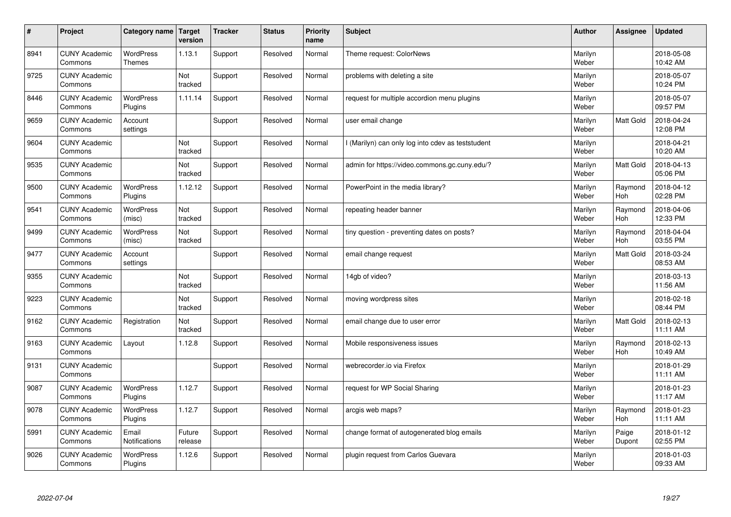| $\sharp$ | Project                         | Category name   Target            | version           | <b>Tracker</b> | <b>Status</b> | <b>Priority</b><br>name | <b>Subject</b>                                    | <b>Author</b>    | Assignee              | <b>Updated</b>         |
|----------|---------------------------------|-----------------------------------|-------------------|----------------|---------------|-------------------------|---------------------------------------------------|------------------|-----------------------|------------------------|
| 8941     | <b>CUNY Academic</b><br>Commons | <b>WordPress</b><br><b>Themes</b> | 1.13.1            | Support        | Resolved      | Normal                  | Theme request: ColorNews                          | Marilyn<br>Weber |                       | 2018-05-08<br>10:42 AM |
| 9725     | <b>CUNY Academic</b><br>Commons |                                   | Not<br>tracked    | Support        | Resolved      | Normal                  | problems with deleting a site                     | Marilyn<br>Weber |                       | 2018-05-07<br>10:24 PM |
| 8446     | <b>CUNY Academic</b><br>Commons | <b>WordPress</b><br>Plugins       | 1.11.14           | Support        | Resolved      | Normal                  | request for multiple accordion menu plugins       | Marilyn<br>Weber |                       | 2018-05-07<br>09:57 PM |
| 9659     | <b>CUNY Academic</b><br>Commons | Account<br>settings               |                   | Support        | Resolved      | Normal                  | user email change                                 | Marilyn<br>Weber | Matt Gold             | 2018-04-24<br>12:08 PM |
| 9604     | <b>CUNY Academic</b><br>Commons |                                   | Not<br>tracked    | Support        | Resolved      | Normal                  | I (Marilyn) can only log into cdev as teststudent | Marilyn<br>Weber |                       | 2018-04-21<br>10:20 AM |
| 9535     | <b>CUNY Academic</b><br>Commons |                                   | Not<br>tracked    | Support        | Resolved      | Normal                  | admin for https://video.commons.gc.cuny.edu/?     | Marilyn<br>Weber | Matt Gold             | 2018-04-13<br>05:06 PM |
| 9500     | <b>CUNY Academic</b><br>Commons | <b>WordPress</b><br>Plugins       | 1.12.12           | Support        | Resolved      | Normal                  | PowerPoint in the media library?                  | Marilyn<br>Weber | Raymond<br>Hoh        | 2018-04-12<br>02:28 PM |
| 9541     | <b>CUNY Academic</b><br>Commons | WordPress<br>(misc)               | Not<br>tracked    | Support        | Resolved      | Normal                  | repeating header banner                           | Marilyn<br>Weber | Raymond<br>Hoh        | 2018-04-06<br>12:33 PM |
| 9499     | <b>CUNY Academic</b><br>Commons | WordPress<br>(misc)               | Not<br>tracked    | Support        | Resolved      | Normal                  | tiny question - preventing dates on posts?        | Marilyn<br>Weber | Raymond<br>Hoh        | 2018-04-04<br>03:55 PM |
| 9477     | <b>CUNY Academic</b><br>Commons | Account<br>settings               |                   | Support        | Resolved      | Normal                  | email change request                              | Marilyn<br>Weber | <b>Matt Gold</b>      | 2018-03-24<br>08:53 AM |
| 9355     | <b>CUNY Academic</b><br>Commons |                                   | Not<br>tracked    | Support        | Resolved      | Normal                  | 14gb of video?                                    | Marilyn<br>Weber |                       | 2018-03-13<br>11:56 AM |
| 9223     | <b>CUNY Academic</b><br>Commons |                                   | Not<br>tracked    | Support        | Resolved      | Normal                  | moving wordpress sites                            | Marilyn<br>Weber |                       | 2018-02-18<br>08:44 PM |
| 9162     | <b>CUNY Academic</b><br>Commons | Registration                      | Not<br>tracked    | Support        | Resolved      | Normal                  | email change due to user error                    | Marilyn<br>Weber | <b>Matt Gold</b>      | 2018-02-13<br>11:11 AM |
| 9163     | <b>CUNY Academic</b><br>Commons | Layout                            | 1.12.8            | Support        | Resolved      | Normal                  | Mobile responsiveness issues                      | Marilyn<br>Weber | Raymond<br><b>Hoh</b> | 2018-02-13<br>10:49 AM |
| 9131     | <b>CUNY Academic</b><br>Commons |                                   |                   | Support        | Resolved      | Normal                  | webrecorder.io via Firefox                        | Marilyn<br>Weber |                       | 2018-01-29<br>11:11 AM |
| 9087     | <b>CUNY Academic</b><br>Commons | <b>WordPress</b><br>Plugins       | 1.12.7            | Support        | Resolved      | Normal                  | request for WP Social Sharing                     | Marilyn<br>Weber |                       | 2018-01-23<br>11:17 AM |
| 9078     | <b>CUNY Academic</b><br>Commons | WordPress<br>Plugins              | 1.12.7            | Support        | Resolved      | Normal                  | arcgis web maps?                                  | Marilyn<br>Weber | Raymond<br><b>Hoh</b> | 2018-01-23<br>11:11 AM |
| 5991     | <b>CUNY Academic</b><br>Commons | Email<br>Notifications            | Future<br>release | Support        | Resolved      | Normal                  | change format of autogenerated blog emails        | Marilyn<br>Weber | Paige<br>Dupont       | 2018-01-12<br>02:55 PM |
| 9026     | <b>CUNY Academic</b><br>Commons | <b>WordPress</b><br>Plugins       | 1.12.6            | Support        | Resolved      | Normal                  | plugin request from Carlos Guevara                | Marilyn<br>Weber |                       | 2018-01-03<br>09:33 AM |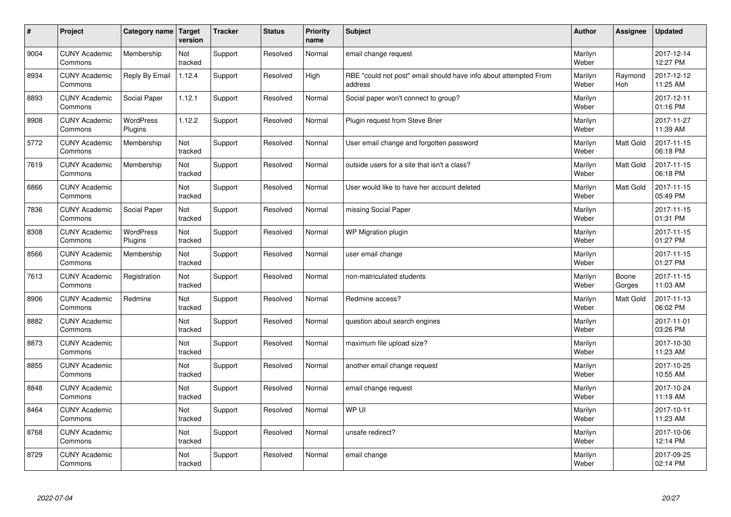| $\sharp$ | Project                         | Category name   Target      | version        | <b>Tracker</b> | <b>Status</b> | <b>Priority</b><br>name | <b>Subject</b>                                                              | <b>Author</b>    | Assignee        | <b>Updated</b>         |
|----------|---------------------------------|-----------------------------|----------------|----------------|---------------|-------------------------|-----------------------------------------------------------------------------|------------------|-----------------|------------------------|
| 9004     | <b>CUNY Academic</b><br>Commons | Membership                  | Not<br>tracked | Support        | Resolved      | Normal                  | email change request                                                        | Marilyn<br>Weber |                 | 2017-12-14<br>12:27 PM |
| 8934     | <b>CUNY Academic</b><br>Commons | Reply By Email              | 1.12.4         | Support        | Resolved      | High                    | RBE "could not post" email should have info about attempted From<br>address | Marilyn<br>Weber | Raymond<br>Hoh  | 2017-12-12<br>11:25 AM |
| 8893     | <b>CUNY Academic</b><br>Commons | Social Paper                | 1.12.1         | Support        | Resolved      | Normal                  | Social paper won't connect to group?                                        | Marilyn<br>Weber |                 | 2017-12-11<br>01:16 PM |
| 8908     | <b>CUNY Academic</b><br>Commons | <b>WordPress</b><br>Plugins | 1.12.2         | Support        | Resolved      | Normal                  | Plugin request from Steve Brier                                             | Marilyn<br>Weber |                 | 2017-11-27<br>11:39 AM |
| 5772     | <b>CUNY Academic</b><br>Commons | Membership                  | Not<br>tracked | Support        | Resolved      | Normal                  | User email change and forgotten password                                    | Marilyn<br>Weber | Matt Gold       | 2017-11-15<br>06:18 PM |
| 7619     | <b>CUNY Academic</b><br>Commons | Membership                  | Not<br>tracked | Support        | Resolved      | Normal                  | outside users for a site that isn't a class?                                | Marilyn<br>Weber | Matt Gold       | 2017-11-15<br>06:18 PM |
| 6866     | <b>CUNY Academic</b><br>Commons |                             | Not<br>tracked | Support        | Resolved      | Normal                  | User would like to have her account deleted                                 | Marilyn<br>Weber | Matt Gold       | 2017-11-15<br>05:49 PM |
| 7836     | <b>CUNY Academic</b><br>Commons | Social Paper                | Not<br>tracked | Support        | Resolved      | Normal                  | missing Social Paper                                                        | Marilyn<br>Weber |                 | 2017-11-15<br>01:31 PM |
| 8308     | <b>CUNY Academic</b><br>Commons | <b>WordPress</b><br>Plugins | Not<br>tracked | Support        | Resolved      | Normal                  | WP Migration plugin                                                         | Marilyn<br>Weber |                 | 2017-11-15<br>01:27 PM |
| 8566     | <b>CUNY Academic</b><br>Commons | Membership                  | Not<br>tracked | Support        | Resolved      | Normal                  | user email change                                                           | Marilyn<br>Weber |                 | 2017-11-15<br>01:27 PM |
| 7613     | <b>CUNY Academic</b><br>Commons | Registration                | Not<br>tracked | Support        | Resolved      | Normal                  | non-matriculated students                                                   | Marilyn<br>Weber | Boone<br>Gorges | 2017-11-15<br>11:03 AM |
| 8906     | <b>CUNY Academic</b><br>Commons | Redmine                     | Not<br>tracked | Support        | Resolved      | Normal                  | Redmine access?                                                             | Marilyn<br>Weber | Matt Gold       | 2017-11-13<br>06:02 PM |
| 8882     | <b>CUNY Academic</b><br>Commons |                             | Not<br>tracked | Support        | Resolved      | Normal                  | question about search engines                                               | Marilyn<br>Weber |                 | 2017-11-01<br>03:26 PM |
| 8873     | <b>CUNY Academic</b><br>Commons |                             | Not<br>tracked | Support        | Resolved      | Normal                  | maximum file upload size?                                                   | Marilyn<br>Weber |                 | 2017-10-30<br>11:23 AM |
| 8855     | <b>CUNY Academic</b><br>Commons |                             | Not<br>tracked | Support        | Resolved      | Normal                  | another email change request                                                | Marilyn<br>Weber |                 | 2017-10-25<br>10:55 AM |
| 8848     | <b>CUNY Academic</b><br>Commons |                             | Not<br>tracked | Support        | Resolved      | Normal                  | email change request                                                        | Marilyn<br>Weber |                 | 2017-10-24<br>11:19 AM |
| 8464     | <b>CUNY Academic</b><br>Commons |                             | Not<br>tracked | Support        | Resolved      | Normal                  | WP UI                                                                       | Marilyn<br>Weber |                 | 2017-10-11<br>11:23 AM |
| 8768     | <b>CUNY Academic</b><br>Commons |                             | Not<br>tracked | Support        | Resolved      | Normal                  | unsafe redirect?                                                            | Marilyn<br>Weber |                 | 2017-10-06<br>12:14 PM |
| 8729     | <b>CUNY Academic</b><br>Commons |                             | Not<br>tracked | Support        | Resolved      | Normal                  | email change                                                                | Marilyn<br>Weber |                 | 2017-09-25<br>02:14 PM |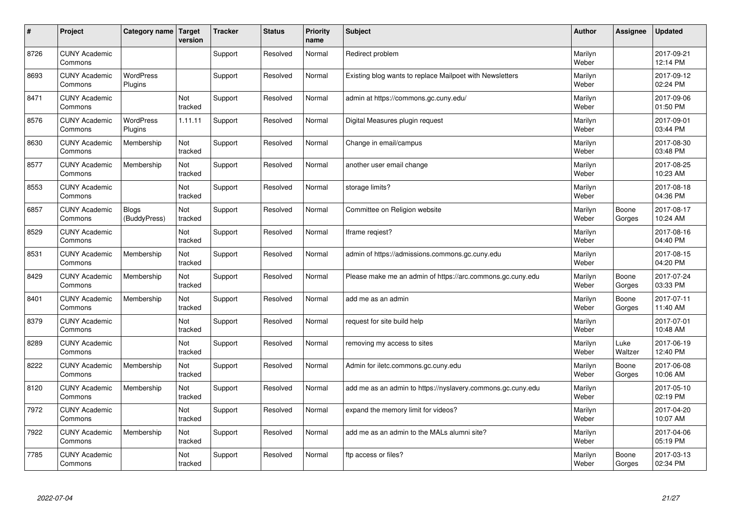| #    | Project                         | Category name   Target       | version        | <b>Tracker</b> | <b>Status</b> | <b>Priority</b><br>name | <b>Subject</b>                                              | <b>Author</b>    | Assignee        | <b>Updated</b>         |
|------|---------------------------------|------------------------------|----------------|----------------|---------------|-------------------------|-------------------------------------------------------------|------------------|-----------------|------------------------|
| 8726 | <b>CUNY Academic</b><br>Commons |                              |                | Support        | Resolved      | Normal                  | Redirect problem                                            | Marilyn<br>Weber |                 | 2017-09-21<br>12:14 PM |
| 8693 | <b>CUNY Academic</b><br>Commons | <b>WordPress</b><br>Plugins  |                | Support        | Resolved      | Normal                  | Existing blog wants to replace Mailpoet with Newsletters    | Marilyn<br>Weber |                 | 2017-09-12<br>02:24 PM |
| 8471 | <b>CUNY Academic</b><br>Commons |                              | Not<br>tracked | Support        | Resolved      | Normal                  | admin at https://commons.gc.cuny.edu/                       | Marilyn<br>Weber |                 | 2017-09-06<br>01:50 PM |
| 8576 | <b>CUNY Academic</b><br>Commons | <b>WordPress</b><br>Plugins  | 1.11.11        | Support        | Resolved      | Normal                  | Digital Measures plugin request                             | Marilyn<br>Weber |                 | 2017-09-01<br>03:44 PM |
| 8630 | <b>CUNY Academic</b><br>Commons | Membership                   | Not<br>tracked | Support        | Resolved      | Normal                  | Change in email/campus                                      | Marilyn<br>Weber |                 | 2017-08-30<br>03:48 PM |
| 8577 | <b>CUNY Academic</b><br>Commons | Membership                   | Not<br>tracked | Support        | Resolved      | Normal                  | another user email change                                   | Marilyn<br>Weber |                 | 2017-08-25<br>10:23 AM |
| 8553 | <b>CUNY Academic</b><br>Commons |                              | Not<br>tracked | Support        | Resolved      | Normal                  | storage limits?                                             | Marilyn<br>Weber |                 | 2017-08-18<br>04:36 PM |
| 6857 | <b>CUNY Academic</b><br>Commons | <b>Blogs</b><br>(BuddyPress) | Not<br>tracked | Support        | Resolved      | Normal                  | Committee on Religion website                               | Marilyn<br>Weber | Boone<br>Gorges | 2017-08-17<br>10:24 AM |
| 8529 | <b>CUNY Academic</b><br>Commons |                              | Not<br>tracked | Support        | Resolved      | Normal                  | Iframe regiest?                                             | Marilyn<br>Weber |                 | 2017-08-16<br>04:40 PM |
| 8531 | <b>CUNY Academic</b><br>Commons | Membership                   | Not<br>tracked | Support        | Resolved      | Normal                  | admin of https://admissions.commons.gc.cuny.edu             | Marilyn<br>Weber |                 | 2017-08-15<br>04:20 PM |
| 8429 | <b>CUNY Academic</b><br>Commons | Membership                   | Not<br>tracked | Support        | Resolved      | Normal                  | Please make me an admin of https://arc.commons.gc.cuny.edu  | Marilyn<br>Weber | Boone<br>Gorges | 2017-07-24<br>03:33 PM |
| 8401 | <b>CUNY Academic</b><br>Commons | Membership                   | Not<br>tracked | Support        | Resolved      | Normal                  | add me as an admin                                          | Marilyn<br>Weber | Boone<br>Gorges | 2017-07-11<br>11:40 AM |
| 8379 | <b>CUNY Academic</b><br>Commons |                              | Not<br>tracked | Support        | Resolved      | Normal                  | request for site build help                                 | Marilyn<br>Weber |                 | 2017-07-01<br>10:48 AM |
| 8289 | <b>CUNY Academic</b><br>Commons |                              | Not<br>tracked | Support        | Resolved      | Normal                  | removing my access to sites                                 | Marilyn<br>Weber | Luke<br>Waltzer | 2017-06-19<br>12:40 PM |
| 8222 | <b>CUNY Academic</b><br>Commons | Membership                   | Not<br>tracked | Support        | Resolved      | Normal                  | Admin for iletc.commons.gc.cuny.edu                         | Marilyn<br>Weber | Boone<br>Gorges | 2017-06-08<br>10:06 AM |
| 8120 | <b>CUNY Academic</b><br>Commons | Membership                   | Not<br>tracked | Support        | Resolved      | Normal                  | add me as an admin to https://nyslavery.commons.gc.cuny.edu | Marilyn<br>Weber |                 | 2017-05-10<br>02:19 PM |
| 7972 | <b>CUNY Academic</b><br>Commons |                              | Not<br>tracked | Support        | Resolved      | Normal                  | expand the memory limit for videos?                         | Marilyn<br>Weber |                 | 2017-04-20<br>10:07 AM |
| 7922 | <b>CUNY Academic</b><br>Commons | Membership                   | Not<br>tracked | Support        | Resolved      | Normal                  | add me as an admin to the MALs alumni site?                 | Marilyn<br>Weber |                 | 2017-04-06<br>05:19 PM |
| 7785 | <b>CUNY Academic</b><br>Commons |                              | Not<br>tracked | Support        | Resolved      | Normal                  | ftp access or files?                                        | Marilyn<br>Weber | Boone<br>Gorges | 2017-03-13<br>02:34 PM |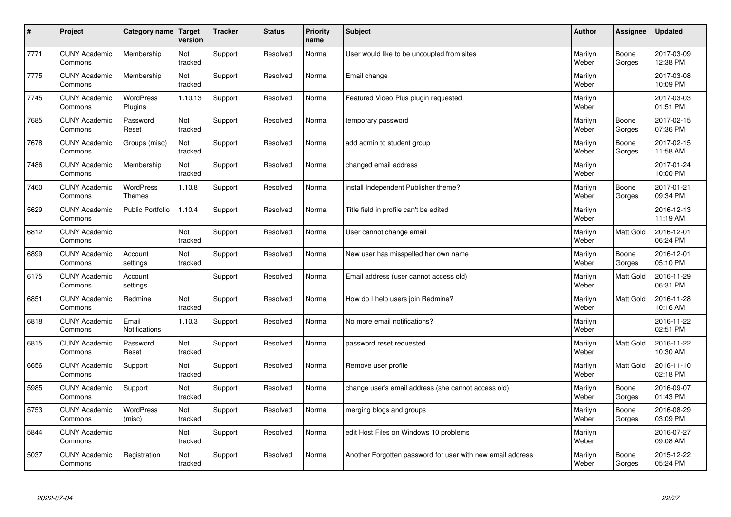| $\sharp$ | Project                         | Category name   Target            | version        | <b>Tracker</b> | <b>Status</b> | <b>Priority</b><br>name | <b>Subject</b>                                             | <b>Author</b>    | Assignee         | <b>Updated</b>         |
|----------|---------------------------------|-----------------------------------|----------------|----------------|---------------|-------------------------|------------------------------------------------------------|------------------|------------------|------------------------|
| 7771     | <b>CUNY Academic</b><br>Commons | Membership                        | Not<br>tracked | Support        | Resolved      | Normal                  | User would like to be uncoupled from sites                 | Marilyn<br>Weber | Boone<br>Gorges  | 2017-03-09<br>12:38 PM |
| 7775     | <b>CUNY Academic</b><br>Commons | Membership                        | Not<br>tracked | Support        | Resolved      | Normal                  | Email change                                               | Marilyn<br>Weber |                  | 2017-03-08<br>10:09 PM |
| 7745     | <b>CUNY Academic</b><br>Commons | <b>WordPress</b><br>Plugins       | 1.10.13        | Support        | Resolved      | Normal                  | Featured Video Plus plugin requested                       | Marilyn<br>Weber |                  | 2017-03-03<br>01:51 PM |
| 7685     | <b>CUNY Academic</b><br>Commons | Password<br>Reset                 | Not<br>tracked | Support        | Resolved      | Normal                  | temporary password                                         | Marilyn<br>Weber | Boone<br>Gorges  | 2017-02-15<br>07:36 PM |
| 7678     | <b>CUNY Academic</b><br>Commons | Groups (misc)                     | Not<br>tracked | Support        | Resolved      | Normal                  | add admin to student group                                 | Marilyn<br>Weber | Boone<br>Gorges  | 2017-02-15<br>11:58 AM |
| 7486     | <b>CUNY Academic</b><br>Commons | Membership                        | Not<br>tracked | Support        | Resolved      | Normal                  | changed email address                                      | Marilyn<br>Weber |                  | 2017-01-24<br>10:00 PM |
| 7460     | <b>CUNY Academic</b><br>Commons | <b>WordPress</b><br><b>Themes</b> | 1.10.8         | Support        | Resolved      | Normal                  | install Independent Publisher theme?                       | Marilyn<br>Weber | Boone<br>Gorges  | 2017-01-21<br>09:34 PM |
| 5629     | <b>CUNY Academic</b><br>Commons | <b>Public Portfolio</b>           | 1.10.4         | Support        | Resolved      | Normal                  | Title field in profile can't be edited                     | Marilyn<br>Weber |                  | 2016-12-13<br>11:19 AM |
| 6812     | <b>CUNY Academic</b><br>Commons |                                   | Not<br>tracked | Support        | Resolved      | Normal                  | User cannot change email                                   | Marilyn<br>Weber | <b>Matt Gold</b> | 2016-12-01<br>06:24 PM |
| 6899     | <b>CUNY Academic</b><br>Commons | Account<br>settings               | Not<br>tracked | Support        | Resolved      | Normal                  | New user has misspelled her own name                       | Marilyn<br>Weber | Boone<br>Gorges  | 2016-12-01<br>05:10 PM |
| 6175     | <b>CUNY Academic</b><br>Commons | Account<br>settings               |                | Support        | Resolved      | Normal                  | Email address (user cannot access old)                     | Marilyn<br>Weber | Matt Gold        | 2016-11-29<br>06:31 PM |
| 6851     | <b>CUNY Academic</b><br>Commons | Redmine                           | Not<br>tracked | Support        | Resolved      | Normal                  | How do I help users join Redmine?                          | Marilyn<br>Weber | <b>Matt Gold</b> | 2016-11-28<br>10:16 AM |
| 6818     | <b>CUNY Academic</b><br>Commons | Email<br>Notifications            | 1.10.3         | Support        | Resolved      | Normal                  | No more email notifications?                               | Marilyn<br>Weber |                  | 2016-11-22<br>02:51 PM |
| 6815     | <b>CUNY Academic</b><br>Commons | Password<br>Reset                 | Not<br>tracked | Support        | Resolved      | Normal                  | password reset requested                                   | Marilyn<br>Weber | Matt Gold        | 2016-11-22<br>10:30 AM |
| 6656     | <b>CUNY Academic</b><br>Commons | Support                           | Not<br>tracked | Support        | Resolved      | Normal                  | Remove user profile                                        | Marilyn<br>Weber | <b>Matt Gold</b> | 2016-11-10<br>02:18 PM |
| 5985     | <b>CUNY Academic</b><br>Commons | Support                           | Not<br>tracked | Support        | Resolved      | Normal                  | change user's email address (she cannot access old)        | Marilyn<br>Weber | Boone<br>Gorges  | 2016-09-07<br>01:43 PM |
| 5753     | <b>CUNY Academic</b><br>Commons | WordPress<br>(misc)               | Not<br>tracked | Support        | Resolved      | Normal                  | merging blogs and groups                                   | Marilyn<br>Weber | Boone<br>Gorges  | 2016-08-29<br>03:09 PM |
| 5844     | <b>CUNY Academic</b><br>Commons |                                   | Not<br>tracked | Support        | Resolved      | Normal                  | edit Host Files on Windows 10 problems                     | Marilyn<br>Weber |                  | 2016-07-27<br>09:08 AM |
| 5037     | <b>CUNY Academic</b><br>Commons | Registration                      | Not<br>tracked | Support        | Resolved      | Normal                  | Another Forgotten password for user with new email address | Marilyn<br>Weber | Boone<br>Gorges  | 2015-12-22<br>05:24 PM |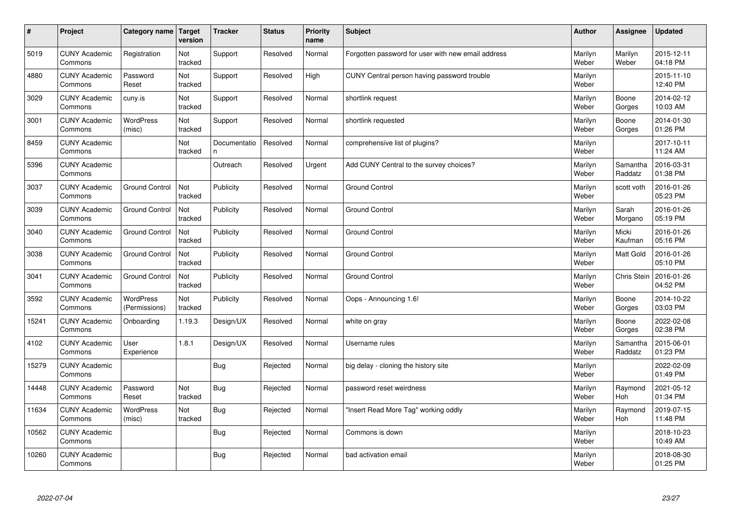| $\vert$ # | Project                         | Category name              | Target<br>version | <b>Tracker</b>     | <b>Status</b> | <b>Priority</b><br>name | <b>Subject</b>                                     | <b>Author</b>    | Assignee              | <b>Updated</b>         |
|-----------|---------------------------------|----------------------------|-------------------|--------------------|---------------|-------------------------|----------------------------------------------------|------------------|-----------------------|------------------------|
| 5019      | <b>CUNY Academic</b><br>Commons | Registration               | Not<br>tracked    | Support            | Resolved      | Normal                  | Forgotten password for user with new email address | Marilyn<br>Weber | Marilyn<br>Weber      | 2015-12-11<br>04:18 PM |
| 4880      | <b>CUNY Academic</b><br>Commons | Password<br>Reset          | Not<br>tracked    | Support            | Resolved      | High                    | CUNY Central person having password trouble        | Marilyn<br>Weber |                       | 2015-11-10<br>12:40 PM |
| 3029      | <b>CUNY Academic</b><br>Commons | cuny.is                    | Not<br>tracked    | Support            | Resolved      | Normal                  | shortlink request                                  | Marilyn<br>Weber | Boone<br>Gorges       | 2014-02-12<br>10:03 AM |
| 3001      | <b>CUNY Academic</b><br>Commons | <b>WordPress</b><br>(misc) | Not<br>tracked    | Support            | Resolved      | Normal                  | shortlink requested                                | Marilyn<br>Weber | Boone<br>Gorges       | 2014-01-30<br>01:26 PM |
| 8459      | <b>CUNY Academic</b><br>Commons |                            | Not<br>tracked    | Documentatio<br>n. | Resolved      | Normal                  | comprehensive list of plugins?                     | Marilyn<br>Weber |                       | 2017-10-11<br>11:24 AM |
| 5396      | <b>CUNY Academic</b><br>Commons |                            |                   | Outreach           | Resolved      | Urgent                  | Add CUNY Central to the survey choices?            | Marilyn<br>Weber | Samantha<br>Raddatz   | 2016-03-31<br>01:38 PM |
| 3037      | <b>CUNY Academic</b><br>Commons | <b>Ground Control</b>      | Not<br>tracked    | Publicity          | Resolved      | Normal                  | <b>Ground Control</b>                              | Marilyn<br>Weber | scott voth            | 2016-01-26<br>05:23 PM |
| 3039      | <b>CUNY Academic</b><br>Commons | <b>Ground Control</b>      | Not<br>tracked    | Publicity          | Resolved      | Normal                  | <b>Ground Control</b>                              | Marilyn<br>Weber | Sarah<br>Morgano      | 2016-01-26<br>05:19 PM |
| 3040      | <b>CUNY Academic</b><br>Commons | <b>Ground Control</b>      | Not<br>tracked    | Publicity          | Resolved      | Normal                  | <b>Ground Control</b>                              | Marilyn<br>Weber | Micki<br>Kaufman      | 2016-01-26<br>05:16 PM |
| 3038      | <b>CUNY Academic</b><br>Commons | <b>Ground Control</b>      | Not<br>tracked    | Publicity          | Resolved      | Normal                  | <b>Ground Control</b>                              | Marilyn<br>Weber | <b>Matt Gold</b>      | 2016-01-26<br>05:10 PM |
| 3041      | <b>CUNY Academic</b><br>Commons | <b>Ground Control</b>      | Not<br>tracked    | Publicity          | Resolved      | Normal                  | <b>Ground Control</b>                              | Marilyn<br>Weber | <b>Chris Stein</b>    | 2016-01-26<br>04:52 PM |
| 3592      | <b>CUNY Academic</b><br>Commons | WordPress<br>(Permissions) | Not<br>tracked    | Publicity          | Resolved      | Normal                  | Oops - Announcing 1.6!                             | Marilyn<br>Weber | Boone<br>Gorges       | 2014-10-22<br>03:03 PM |
| 15241     | <b>CUNY Academic</b><br>Commons | Onboarding                 | 1.19.3            | Design/UX          | Resolved      | Normal                  | white on gray                                      | Marilyn<br>Weber | Boone<br>Gorges       | 2022-02-08<br>02:38 PM |
| 4102      | <b>CUNY Academic</b><br>Commons | User<br>Experience         | 1.8.1             | Design/UX          | Resolved      | Normal                  | Username rules                                     | Marilyn<br>Weber | Samantha<br>Raddatz   | 2015-06-01<br>01:23 PM |
| 15279     | <b>CUNY Academic</b><br>Commons |                            |                   | Bug                | Rejected      | Normal                  | big delay - cloning the history site               | Marilyn<br>Weber |                       | 2022-02-09<br>01:49 PM |
| 14448     | <b>CUNY Academic</b><br>Commons | Password<br>Reset          | Not<br>tracked    | <b>Bug</b>         | Rejected      | Normal                  | password reset weirdness                           | Marilyn<br>Weber | Raymond<br><b>Hoh</b> | 2021-05-12<br>01:34 PM |
| 11634     | <b>CUNY Academic</b><br>Commons | <b>WordPress</b><br>(misc) | Not<br>tracked    | Bug                | Rejected      | Normal                  | 'Insert Read More Tag" working oddly               | Marilyn<br>Weber | Raymond<br><b>Hoh</b> | 2019-07-15<br>11:48 PM |
| 10562     | <b>CUNY Academic</b><br>Commons |                            |                   | Bug                | Rejected      | Normal                  | Commons is down                                    | Marilyn<br>Weber |                       | 2018-10-23<br>10:49 AM |
| 10260     | <b>CUNY Academic</b><br>Commons |                            |                   | Bug                | Rejected      | Normal                  | bad activation email                               | Marilyn<br>Weber |                       | 2018-08-30<br>01:25 PM |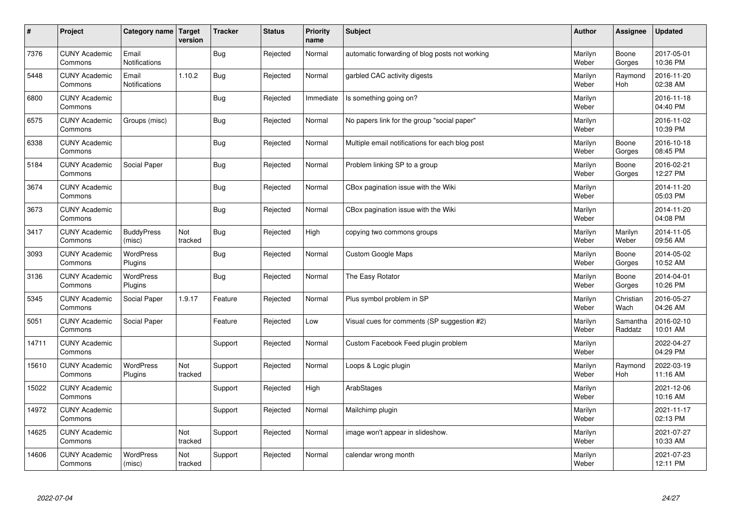| $\sharp$ | Project                         | Category name   Target        | version        | <b>Tracker</b> | <b>Status</b> | <b>Priority</b><br>name | <b>Subject</b>                                  | <b>Author</b>    | Assignee              | <b>Updated</b>         |
|----------|---------------------------------|-------------------------------|----------------|----------------|---------------|-------------------------|-------------------------------------------------|------------------|-----------------------|------------------------|
| 7376     | <b>CUNY Academic</b><br>Commons | Email<br>Notifications        |                | Bug            | Rejected      | Normal                  | automatic forwarding of blog posts not working  | Marilyn<br>Weber | Boone<br>Gorges       | 2017-05-01<br>10:36 PM |
| 5448     | <b>CUNY Academic</b><br>Commons | Email<br><b>Notifications</b> | 1.10.2         | Bug            | Rejected      | Normal                  | garbled CAC activity digests                    | Marilyn<br>Weber | Raymond<br><b>Hoh</b> | 2016-11-20<br>02:38 AM |
| 6800     | <b>CUNY Academic</b><br>Commons |                               |                | Bug            | Rejected      | Immediate               | Is something going on?                          | Marilyn<br>Weber |                       | 2016-11-18<br>04:40 PM |
| 6575     | <b>CUNY Academic</b><br>Commons | Groups (misc)                 |                | Bug            | Rejected      | Normal                  | No papers link for the group "social paper"     | Marilyn<br>Weber |                       | 2016-11-02<br>10:39 PM |
| 6338     | <b>CUNY Academic</b><br>Commons |                               |                | Bug            | Rejected      | Normal                  | Multiple email notifications for each blog post | Marilyn<br>Weber | Boone<br>Gorges       | 2016-10-18<br>08:45 PM |
| 5184     | <b>CUNY Academic</b><br>Commons | Social Paper                  |                | Bug            | Rejected      | Normal                  | Problem linking SP to a group                   | Marilyn<br>Weber | Boone<br>Gorges       | 2016-02-21<br>12:27 PM |
| 3674     | <b>CUNY Academic</b><br>Commons |                               |                | Bug            | Rejected      | Normal                  | CBox pagination issue with the Wiki             | Marilyn<br>Weber |                       | 2014-11-20<br>05:03 PM |
| 3673     | <b>CUNY Academic</b><br>Commons |                               |                | Bug            | Rejected      | Normal                  | CBox pagination issue with the Wiki             | Marilyn<br>Weber |                       | 2014-11-20<br>04:08 PM |
| 3417     | <b>CUNY Academic</b><br>Commons | <b>BuddyPress</b><br>(misc)   | Not<br>tracked | Bug            | Rejected      | High                    | copying two commons groups                      | Marilyn<br>Weber | Marilyn<br>Weber      | 2014-11-05<br>09:56 AM |
| 3093     | <b>CUNY Academic</b><br>Commons | WordPress<br>Plugins          |                | Bug            | Rejected      | Normal                  | <b>Custom Google Maps</b>                       | Marilyn<br>Weber | Boone<br>Gorges       | 2014-05-02<br>10:52 AM |
| 3136     | <b>CUNY Academic</b><br>Commons | WordPress<br>Plugins          |                | <b>Bug</b>     | Rejected      | Normal                  | The Easy Rotator                                | Marilyn<br>Weber | Boone<br>Gorges       | 2014-04-01<br>10:26 PM |
| 5345     | <b>CUNY Academic</b><br>Commons | Social Paper                  | 1.9.17         | Feature        | Rejected      | Normal                  | Plus symbol problem in SP                       | Marilyn<br>Weber | Christian<br>Wach     | 2016-05-27<br>04:26 AM |
| 5051     | <b>CUNY Academic</b><br>Commons | Social Paper                  |                | Feature        | Rejected      | Low                     | Visual cues for comments (SP suggestion #2)     | Marilyn<br>Weber | Samantha<br>Raddatz   | 2016-02-10<br>10:01 AM |
| 14711    | <b>CUNY Academic</b><br>Commons |                               |                | Support        | Rejected      | Normal                  | Custom Facebook Feed plugin problem             | Marilyn<br>Weber |                       | 2022-04-27<br>04:29 PM |
| 15610    | <b>CUNY Academic</b><br>Commons | <b>WordPress</b><br>Plugins   | Not<br>tracked | Support        | Rejected      | Normal                  | Loops & Logic plugin                            | Marilyn<br>Weber | Raymond<br>Hoh        | 2022-03-19<br>11:16 AM |
| 15022    | <b>CUNY Academic</b><br>Commons |                               |                | Support        | Rejected      | High                    | ArabStages                                      | Marilyn<br>Weber |                       | 2021-12-06<br>10:16 AM |
| 14972    | <b>CUNY Academic</b><br>Commons |                               |                | Support        | Rejected      | Normal                  | Mailchimp plugin                                | Marilyn<br>Weber |                       | 2021-11-17<br>02:13 PM |
| 14625    | <b>CUNY Academic</b><br>Commons |                               | Not<br>tracked | Support        | Rejected      | Normal                  | image won't appear in slideshow.                | Marilyn<br>Weber |                       | 2021-07-27<br>10:33 AM |
| 14606    | <b>CUNY Academic</b><br>Commons | WordPress<br>(misc)           | Not<br>tracked | Support        | Rejected      | Normal                  | calendar wrong month                            | Marilyn<br>Weber |                       | 2021-07-23<br>12:11 PM |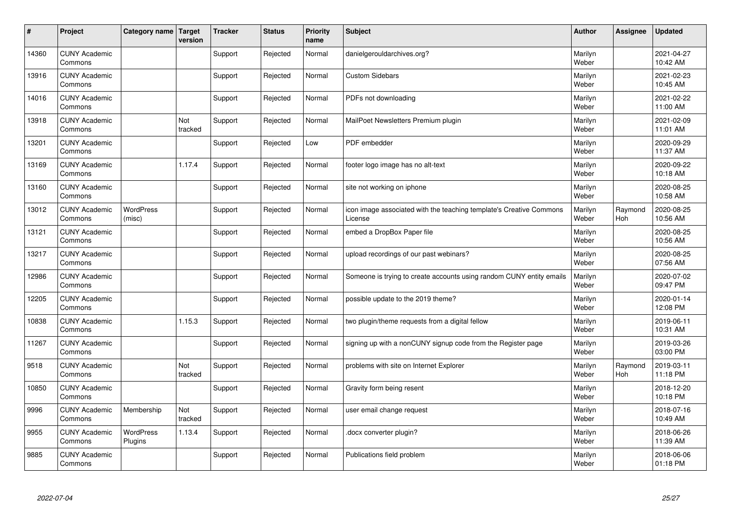| #     | Project                         | Category name   Target      | version        | <b>Tracker</b> | <b>Status</b> | <b>Priority</b><br>name | <b>Subject</b>                                                                 | <b>Author</b>    | Assignee       | <b>Updated</b>         |
|-------|---------------------------------|-----------------------------|----------------|----------------|---------------|-------------------------|--------------------------------------------------------------------------------|------------------|----------------|------------------------|
| 14360 | <b>CUNY Academic</b><br>Commons |                             |                | Support        | Rejected      | Normal                  | danielgerouldarchives.org?                                                     | Marilyn<br>Weber |                | 2021-04-27<br>10:42 AM |
| 13916 | <b>CUNY Academic</b><br>Commons |                             |                | Support        | Rejected      | Normal                  | <b>Custom Sidebars</b>                                                         | Marilyn<br>Weber |                | 2021-02-23<br>10:45 AM |
| 14016 | <b>CUNY Academic</b><br>Commons |                             |                | Support        | Rejected      | Normal                  | PDFs not downloading                                                           | Marilyn<br>Weber |                | 2021-02-22<br>11:00 AM |
| 13918 | <b>CUNY Academic</b><br>Commons |                             | Not<br>tracked | Support        | Rejected      | Normal                  | MailPoet Newsletters Premium plugin                                            | Marilyn<br>Weber |                | 2021-02-09<br>11:01 AM |
| 13201 | <b>CUNY Academic</b><br>Commons |                             |                | Support        | Rejected      | Low                     | PDF embedder                                                                   | Marilyn<br>Weber |                | 2020-09-29<br>11:37 AM |
| 13169 | <b>CUNY Academic</b><br>Commons |                             | 1.17.4         | Support        | Rejected      | Normal                  | footer logo image has no alt-text                                              | Marilyn<br>Weber |                | 2020-09-22<br>10:18 AM |
| 13160 | <b>CUNY Academic</b><br>Commons |                             |                | Support        | Rejected      | Normal                  | site not working on iphone                                                     | Marilyn<br>Weber |                | 2020-08-25<br>10:58 AM |
| 13012 | <b>CUNY Academic</b><br>Commons | WordPress<br>(misc)         |                | Support        | Rejected      | Normal                  | icon image associated with the teaching template's Creative Commons<br>License | Marilyn<br>Weber | Raymond<br>Hoh | 2020-08-25<br>10:56 AM |
| 13121 | <b>CUNY Academic</b><br>Commons |                             |                | Support        | Rejected      | Normal                  | embed a DropBox Paper file                                                     | Marilyn<br>Weber |                | 2020-08-25<br>10:56 AM |
| 13217 | <b>CUNY Academic</b><br>Commons |                             |                | Support        | Rejected      | Normal                  | upload recordings of our past webinars?                                        | Marilyn<br>Weber |                | 2020-08-25<br>07:56 AM |
| 12986 | <b>CUNY Academic</b><br>Commons |                             |                | Support        | Rejected      | Normal                  | Someone is trying to create accounts using random CUNY entity emails           | Marilyn<br>Weber |                | 2020-07-02<br>09:47 PM |
| 12205 | <b>CUNY Academic</b><br>Commons |                             |                | Support        | Rejected      | Normal                  | possible update to the 2019 theme?                                             | Marilyn<br>Weber |                | 2020-01-14<br>12:08 PM |
| 10838 | <b>CUNY Academic</b><br>Commons |                             | 1.15.3         | Support        | Rejected      | Normal                  | two plugin/theme requests from a digital fellow                                | Marilyn<br>Weber |                | 2019-06-11<br>10:31 AM |
| 11267 | <b>CUNY Academic</b><br>Commons |                             |                | Support        | Rejected      | Normal                  | signing up with a nonCUNY signup code from the Register page                   | Marilyn<br>Weber |                | 2019-03-26<br>03:00 PM |
| 9518  | <b>CUNY Academic</b><br>Commons |                             | Not<br>tracked | Support        | Rejected      | Normal                  | problems with site on Internet Explorer                                        | Marilyn<br>Weber | Raymond<br>Hoh | 2019-03-11<br>11:18 PM |
| 10850 | <b>CUNY Academic</b><br>Commons |                             |                | Support        | Rejected      | Normal                  | Gravity form being resent                                                      | Marilyn<br>Weber |                | 2018-12-20<br>10:18 PM |
| 9996  | <b>CUNY Academic</b><br>Commons | Membership                  | Not<br>tracked | Support        | Rejected      | Normal                  | user email change request                                                      | Marilyn<br>Weber |                | 2018-07-16<br>10:49 AM |
| 9955  | <b>CUNY Academic</b><br>Commons | <b>WordPress</b><br>Plugins | 1.13.4         | Support        | Rejected      | Normal                  | docx converter plugin?                                                         | Marilyn<br>Weber |                | 2018-06-26<br>11:39 AM |
| 9885  | <b>CUNY Academic</b><br>Commons |                             |                | Support        | Rejected      | Normal                  | Publications field problem                                                     | Marilyn<br>Weber |                | 2018-06-06<br>01:18 PM |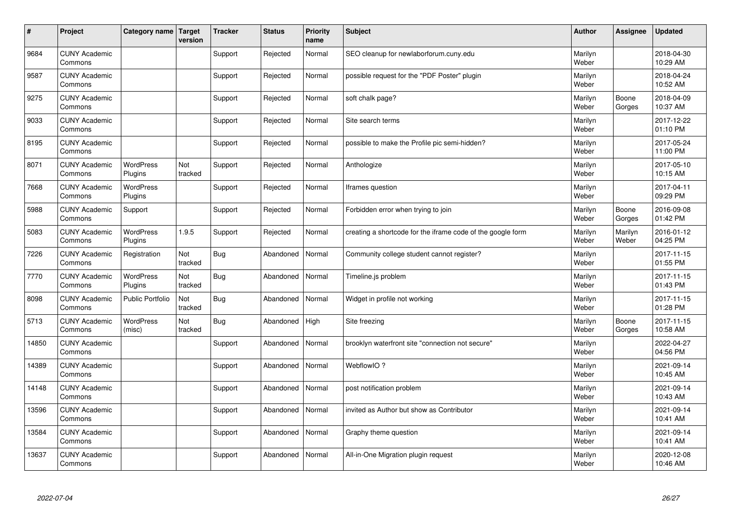| #     | Project                         | Category name   Target      | version        | <b>Tracker</b> | <b>Status</b> | <b>Priority</b><br>name | <b>Subject</b>                                              | <b>Author</b>    | Assignee         | <b>Updated</b>         |
|-------|---------------------------------|-----------------------------|----------------|----------------|---------------|-------------------------|-------------------------------------------------------------|------------------|------------------|------------------------|
| 9684  | <b>CUNY Academic</b><br>Commons |                             |                | Support        | Rejected      | Normal                  | SEO cleanup for newlaborforum.cuny.edu                      | Marilyn<br>Weber |                  | 2018-04-30<br>10:29 AM |
| 9587  | <b>CUNY Academic</b><br>Commons |                             |                | Support        | Rejected      | Normal                  | possible request for the "PDF Poster" plugin                | Marilyn<br>Weber |                  | 2018-04-24<br>10:52 AM |
| 9275  | <b>CUNY Academic</b><br>Commons |                             |                | Support        | Rejected      | Normal                  | soft chalk page?                                            | Marilyn<br>Weber | Boone<br>Gorges  | 2018-04-09<br>10:37 AM |
| 9033  | <b>CUNY Academic</b><br>Commons |                             |                | Support        | Rejected      | Normal                  | Site search terms                                           | Marilyn<br>Weber |                  | 2017-12-22<br>01:10 PM |
| 8195  | <b>CUNY Academic</b><br>Commons |                             |                | Support        | Rejected      | Normal                  | possible to make the Profile pic semi-hidden?               | Marilyn<br>Weber |                  | 2017-05-24<br>11:00 PM |
| 8071  | <b>CUNY Academic</b><br>Commons | <b>WordPress</b><br>Plugins | Not<br>tracked | Support        | Rejected      | Normal                  | Anthologize                                                 | Marilyn<br>Weber |                  | 2017-05-10<br>10:15 AM |
| 7668  | <b>CUNY Academic</b><br>Commons | <b>WordPress</b><br>Plugins |                | Support        | Rejected      | Normal                  | Iframes question                                            | Marilyn<br>Weber |                  | 2017-04-11<br>09:29 PM |
| 5988  | <b>CUNY Academic</b><br>Commons | Support                     |                | Support        | Rejected      | Normal                  | Forbidden error when trying to join                         | Marilyn<br>Weber | Boone<br>Gorges  | 2016-09-08<br>01:42 PM |
| 5083  | <b>CUNY Academic</b><br>Commons | WordPress<br>Plugins        | 1.9.5          | Support        | Rejected      | Normal                  | creating a shortcode for the iframe code of the google form | Marilyn<br>Weber | Marilyn<br>Weber | 2016-01-12<br>04:25 PM |
| 7226  | <b>CUNY Academic</b><br>Commons | Registration                | Not<br>tracked | <b>Bug</b>     | Abandoned     | Normal                  | Community college student cannot register?                  | Marilyn<br>Weber |                  | 2017-11-15<br>01:55 PM |
| 7770  | <b>CUNY Academic</b><br>Commons | WordPress<br>Plugins        | Not<br>tracked | <b>Bug</b>     | Abandoned     | Normal                  | Timeline.js problem                                         | Marilyn<br>Weber |                  | 2017-11-15<br>01:43 PM |
| 8098  | <b>CUNY Academic</b><br>Commons | <b>Public Portfolio</b>     | Not<br>tracked | <b>Bug</b>     | Abandoned     | Normal                  | Widget in profile not working                               | Marilyn<br>Weber |                  | 2017-11-15<br>01:28 PM |
| 5713  | <b>CUNY Academic</b><br>Commons | <b>WordPress</b><br>(misc)  | Not<br>tracked | <b>Bug</b>     | Abandoned     | High                    | Site freezing                                               | Marilyn<br>Weber | Boone<br>Gorges  | 2017-11-15<br>10:58 AM |
| 14850 | <b>CUNY Academic</b><br>Commons |                             |                | Support        | Abandoned     | Normal                  | brooklyn waterfront site "connection not secure"            | Marilyn<br>Weber |                  | 2022-04-27<br>04:56 PM |
| 14389 | <b>CUNY Academic</b><br>Commons |                             |                | Support        | Abandoned     | Normal                  | WebflowIO?                                                  | Marilyn<br>Weber |                  | 2021-09-14<br>10:45 AM |
| 14148 | <b>CUNY Academic</b><br>Commons |                             |                | Support        | Abandoned     | Normal                  | post notification problem                                   | Marilyn<br>Weber |                  | 2021-09-14<br>10:43 AM |
| 13596 | <b>CUNY Academic</b><br>Commons |                             |                | Support        | Abandoned     | Normal                  | invited as Author but show as Contributor                   | Marilyn<br>Weber |                  | 2021-09-14<br>10:41 AM |
| 13584 | <b>CUNY Academic</b><br>Commons |                             |                | Support        | Abandoned     | Normal                  | Graphy theme question                                       | Marilyn<br>Weber |                  | 2021-09-14<br>10:41 AM |
| 13637 | <b>CUNY Academic</b><br>Commons |                             |                | Support        | Abandoned     | Normal                  | All-in-One Migration plugin request                         | Marilyn<br>Weber |                  | 2020-12-08<br>10:46 AM |